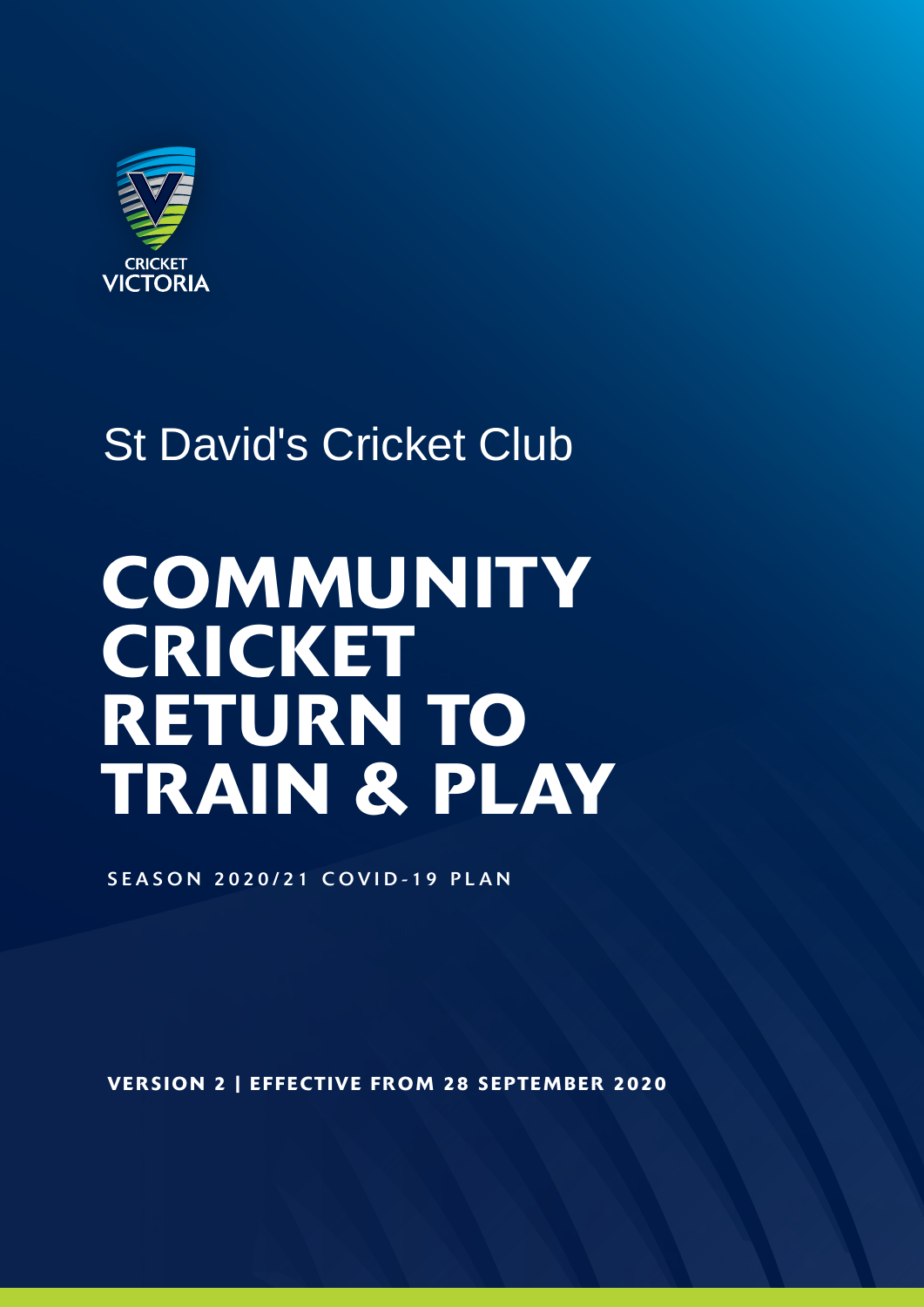

## St David's Cricket Club

# **COMMUNITY CRICKET** RETURN TO TRAIN & PLAY

SEASON 2020/21 COVID-19 PLAN

VERSION 2 | EFFECTIVE FROM 28 SEPTEMBER 2020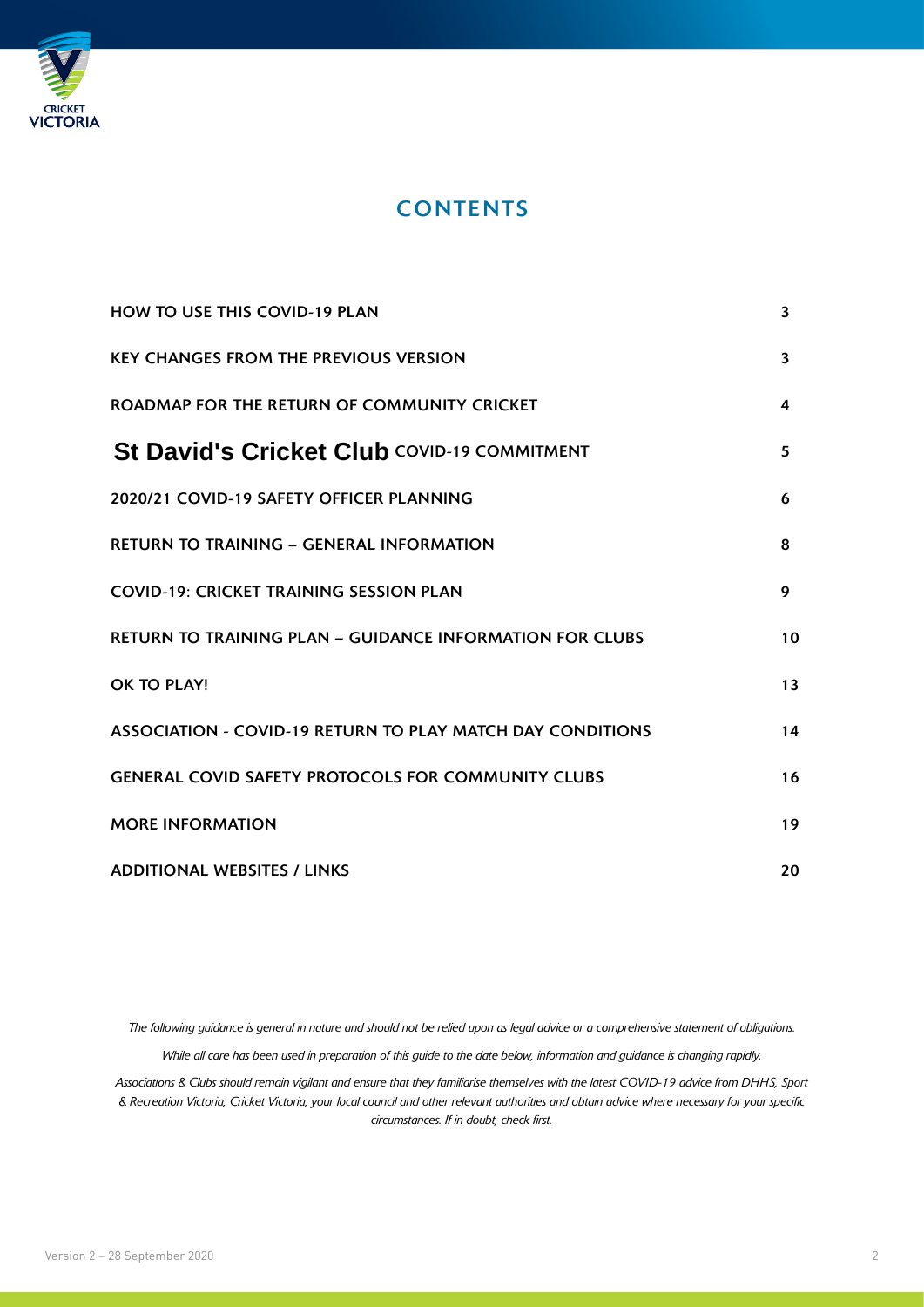

#### **CONTENTS**

| <b>HOW TO USE THIS COVID-19 PLAN</b>                              | 3  |
|-------------------------------------------------------------------|----|
| <b>KEY CHANGES FROM THE PREVIOUS VERSION</b>                      | 3  |
| ROADMAP FOR THE RETURN OF COMMUNITY CRICKET                       | 4  |
| <b>St David's Cricket Club COVID-19 COMMITMENT</b>                | 5. |
| 2020/21 COVID-19 SAFETY OFFICER PLANNING                          | 6  |
| <b>RETURN TO TRAINING - GENERAL INFORMATION</b>                   | 8  |
| <b>COVID-19: CRICKET TRAINING SESSION PLAN</b>                    | 9  |
| <b>RETURN TO TRAINING PLAN - GUIDANCE INFORMATION FOR CLUBS</b>   | 10 |
| OK TO PLAY!                                                       | 13 |
| <b>ASSOCIATION - COVID-19 RETURN TO PLAY MATCH DAY CONDITIONS</b> | 14 |
| <b>GENERAL COVID SAFETY PROTOCOLS FOR COMMUNITY CLUBS</b>         | 16 |
| <b>MORE INFORMATION</b>                                           | 19 |
| <b>ADDITIONAL WEBSITES / LINKS</b>                                | 20 |

*The following guidance is general in nature and should not be relied upon as legal advice or a comprehensive statement of obligations. While all care has been used in preparation of this guide to the date below, information and guidance is changing rapidly.*

*Associations & Clubs should remain vigilant and ensure that they familiarise themselves with the latest COVID-19 advice from DHHS, Sport & Recreation Victoria, Cricket Victoria, your local council and other relevant authorities and obtain advice where necessary for your specific circumstances. If in doubt, check first.*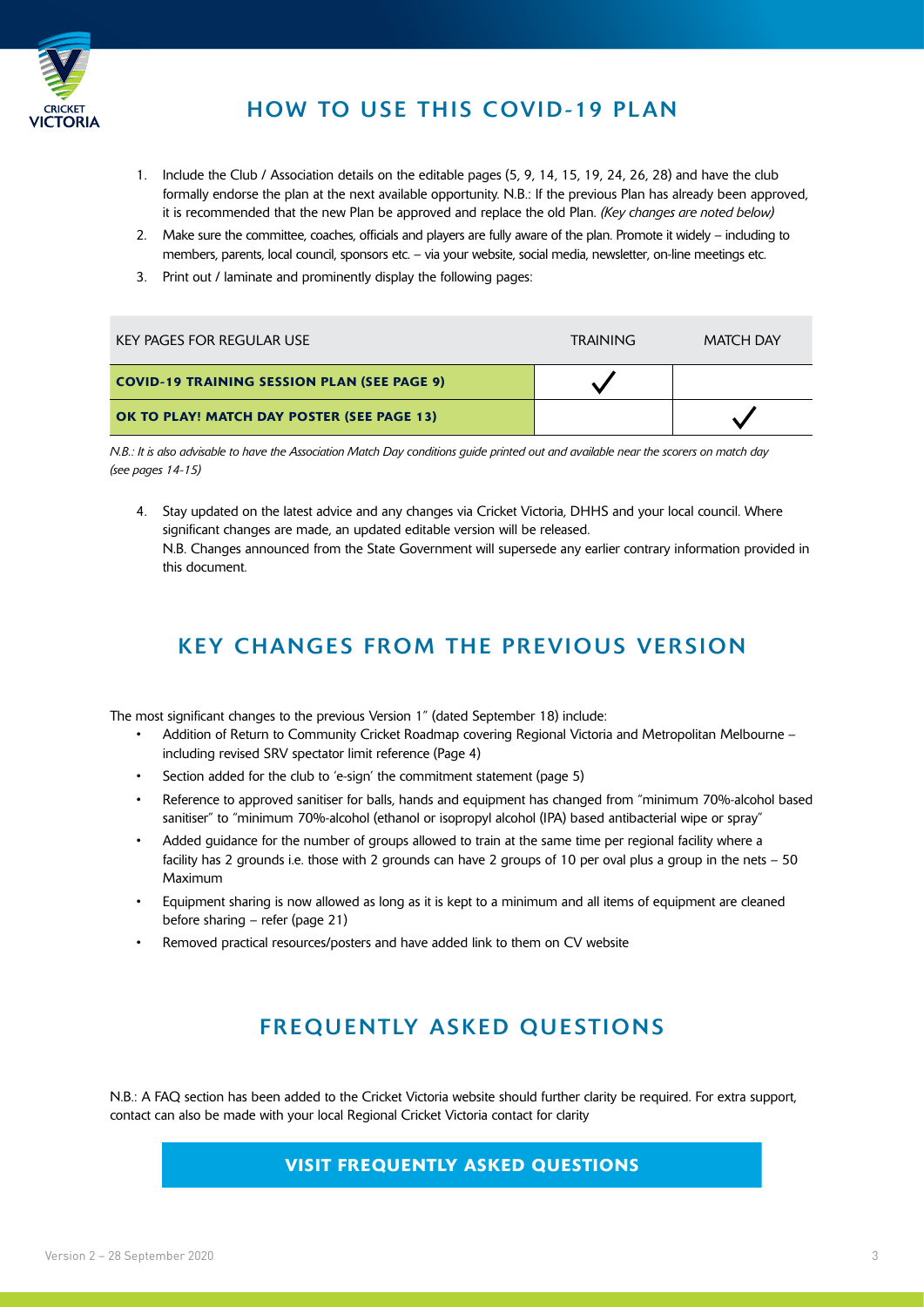

#### HOW TO USE THIS COVID-19 PLAN

- 1. Include the Club / Association details on the editable pages (5, 9, 14, 15, 19, 24, 26, 28) and have the club formally endorse the plan at the next available opportunity. N.B.: If the previous Plan has already been approved, it is recommended that the new Plan be approved and replace the old Plan. *(Key changes are noted below)*
- 2. Make sure the committee, coaches, officials and players are fully aware of the plan. Promote it widely including to members, parents, local council, sponsors etc. – via your website, social media, newsletter, on-line meetings etc.
- 3. Print out / laminate and prominently display the following pages:

| KEY PAGES FOR REGULAR USE                          | <b>TRAINING</b> | <b>MATCH DAY</b> |
|----------------------------------------------------|-----------------|------------------|
| <b>COVID-19 TRAINING SESSION PLAN (SEE PAGE 9)</b> |                 |                  |
| OK TO PLAY! MATCH DAY POSTER (SEE PAGE 13)         |                 |                  |

*N.B.: It is also advisable to have the Association Match Day conditions guide printed out and available near the scorers on match day (see pages 14-15)* 

4. Stay updated on the latest advice and any changes via Cricket Victoria, DHHS and your local council. Where significant changes are made, an updated editable version will be released. N.B. Changes announced from the State Government will supersede any earlier contrary information provided in this document.

#### KEY CHANGES FROM THE PREVIOUS VERSION

The most significant changes to the previous Version 1" (dated September 18) include:

- Addition of Return to Community Cricket Roadmap covering Regional Victoria and Metropolitan Melbourne including revised SRV spectator limit reference (Page 4)
- Section added for the club to 'e-sign' the commitment statement (page 5)
- Reference to approved sanitiser for balls, hands and equipment has changed from "minimum 70%-alcohol based sanitiser" to "minimum 70%-alcohol (ethanol or isopropyl alcohol (IPA) based antibacterial wipe or spray"
- Added guidance for the number of groups allowed to train at the same time per regional facility where a facility has 2 grounds i.e. those with 2 grounds can have 2 groups of 10 per oval plus a group in the nets – 50 Maximum
- Equipment sharing is now allowed as long as it is kept to a minimum and all items of equipment are cleaned before sharing – refer (page 21)
- Removed practical resources/posters and have added link to them on CV website

#### **FREQUENTLY ASKED QUESTIONS**

N.B.: A FAQ section has been added to the Cricket Victoria website should further clarity be required. For extra support, contact can also be made with your local Regional Cricket Victoria contact for clarity

#### VISIT FREQUENTLY ASKED QUESTIONS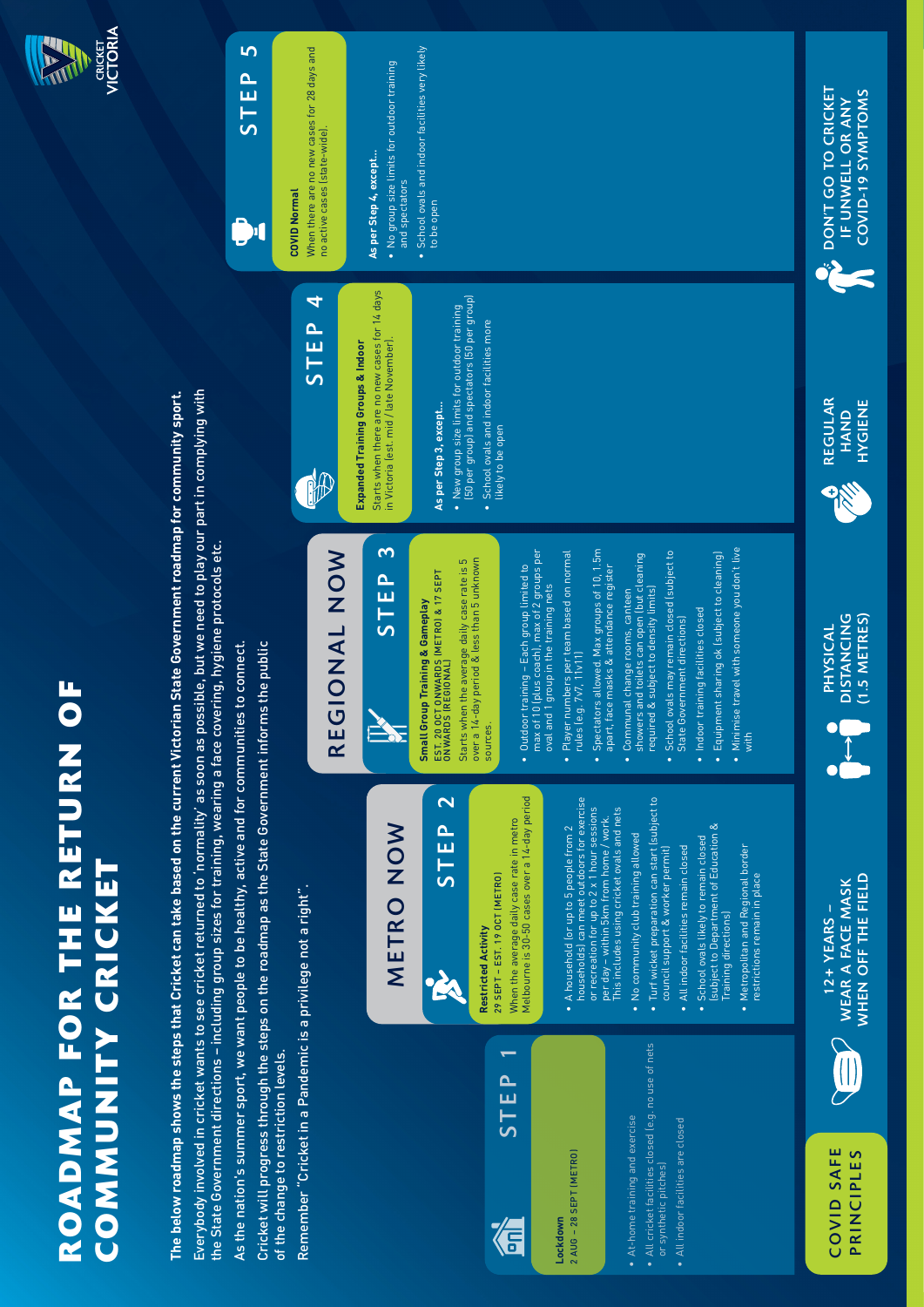# ROADMAP FOR THE RETURN OF<br>COMMUNITY CRICKET<br><sup>The below roadmap shows the steps that Cricket can take based on the current Victorian State Government roadmap for community sport.<br>Everybody involved in cricket wants to see c</sup>

**The below roadmap shows the steps that Cricket can take based on the current Victorian State Government roadmap for community sport.** Everybody involved in cricket wants to see cricket returned to 'normality' as soon as possible, but we need to play our part in complying with

the State Government directions - including group sizes for training, wearing a face covering, hygiene protocols etc. the State Government directions – including group sizes for training, wearing a face covering, hygiene protocols etc.

As the nation's summer sport, we want people to be healthy, active and for communities to connect. As the nation's summer sport, we want people to be healthy, active and for communities to connect.

Cricket will progress through the steps on the roadmap as the State Government informs the public Cricket will progress through the steps on the roadmap as the State Government informs the public of the change to restriction levels. of the change to restriction levels.

Remember "Cricket in a Pandemic is a privilege not a right". Remember "Cricket in a Pandemic is a privilege not a right".

# METRO NOW METRO NOW

### $\overline{\mathbf{C}}$ STEP 2 STEP K

# **Restricted Activity Restricted Activity**

Melbourne is 30-50 cases over a 14-day period Melbourne is 30-50 cases over a 14-day period When the average daily case rate in metro When the average daily case rate in metro 29 SEPT - EST. 19 OCT (METRO) 29 SEPT – EST. 19 OCT (METRO)

STEP 1

信

**Lockdown**

Lockdown

2 AUG – 28 SEPT (METRO)

2 AUG - 28 SEPT (METRO)

- households) can meet outdoors for exercise nouseholds) can meet outdoors for exercise or recreation for up to 2 x 1 hour sessions This includes using cricket ovals and nets or recreation for up to 2 x 1 hour sessions This includes using cricket ovals and nets per day – within 5km from home / work. oer day – within 5km from home / work. A household (or up to 5 people from 2 • A household (or up to 5 people from 2
- No community club training allowed • No community club training allowed

• At-home training and exercise

• At-home training and exercise

• All cricket facilities closed (e.g. no use of nets

• All cricket facilities closed (e.g. no use of nets

 or synthetic pitches) • All indoor facilities are closed

or synthetic pitches)

- Turf wicket preparation can start (subject to · Turf wicket preparation can start (subject to council support & worker permit) council support & worker permit)
	- School ovals likely to remain closed School ovals likely to remain closed All indoor facilities remain closed • All indoor facilities remain closed
- (subject to Department of Education & subject to Department of Education & • Metropolitan and Regional border Training directions) Training directions)
	- Metropolitan and Regional border<br>restrictions remain in place restrictions remain in place

# REGIONAL NOW REGIONAL NOW

# STEP

EST. 20 OCT ONWARDS (METRO) & 17 SEPT EST, 20 OCT ONWARDS (METRO) & 17 SEPT<br>ONWARDS (REGIONAL) **Small Group Training & Gameplay Small Group Training & Gameplay** ONWARDS (REGIONAL)

- over a 14-day period & less than 5 unknown Starts when the average daily case rate is 5 Starts when the average daily case rate is 5 over a 14-day period & less than 5 unknown sources. sources.
- Outdoor training Each group limited to • Outdoor training - Each group limited to oval and 1 group in the training nets oval and 1 group in the training nets
- Player numbers per team based on normal rules (e.g. 7v7, 11v11)
- Spectators allowed. Max groups of 10, 1.5m apart, face masks & attendance register apart, face masks & attendance register
- showers and toilets can open (but cleaning showers and toilets can open (but cleaning • Communal change rooms, canteen required & subject to density limits) · Communal change rooms, canteen
	- School ovals may remain closed (subject to • School ovals may remain closed (subject to State Government directions) State Government directions)
- · Indoor training facilities closed • Indoor training facilities closed
- . Minimise travel with someone you don't live • Minimise travel with someone you don't live with

# $\overline{c}$ STEP 3

- max of 10 (plus coach), max of 2 groups per max of 10 (plus coach), max of 2 groups per
- $\bullet$  Player numbers per team based on normal<br>rules (e.g.  $7v7, 11v111$
- Spectators allowed. Max groups of 10, 1.5m
- 
- 
- Equipment sharing ok (subject to cleaning) • Equipment sharing ok (subject to cleaning)
- 

# B

# **Expanded Training Groups & Indoor Expanded Training Groups & Indoor**

Starts when there are no new cases for 14 days Starts when there are no new cases for 14 days in Victoria (est. mid / late November). in Victoria (est. mid / late November).

## As per Step 3, except... **As per Step 3, except…**

- $\bullet$  New group size limits for outdoor training<br>[50 per group] and spectators [50 per group] (50 per group) and spectators (50 per group) • New group size limits for outdoor training
	- School ovals and indoor facilities more • School ovals and indoor facilities more likely to be open likely to be open





#### COVID SAFE COVID SAFE PRINCIPLES PRINCIPLES



WHEN OFF THE FIELD WEAR A FACE MASK WHEN OFF THE FIELD WEAR A FACE MASK  $12 + YEARS -$ 12+ YEARS –







DON'T GO TO CRICKET IF UNWELL OR ANY COVID-19 SYMPTOMS

**EXAMPLE OF THE PROPERTY** 

**COVID-19 SYMPTOMS** IF UNWELL OR ANY

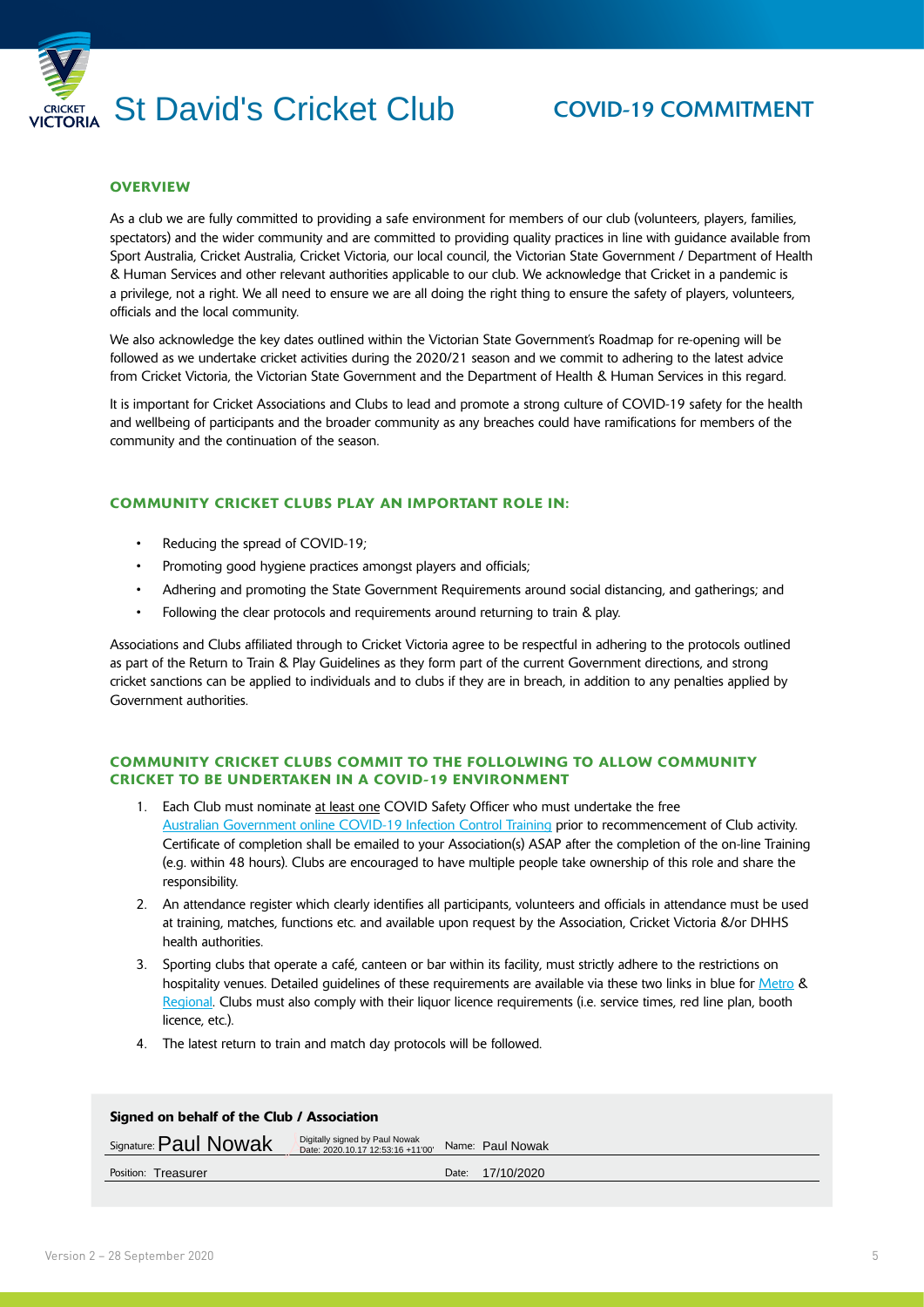

#### **OVERVIEW**

As a club we are fully committed to providing a safe environment for members of our club (volunteers, players, families, spectators) and the wider community and are committed to providing quality practices in line with guidance available from Sport Australia, Cricket Australia, Cricket Victoria, our local council, the Victorian State Government / Department of Health & Human Services and other relevant authorities applicable to our club. We acknowledge that Cricket in a pandemic is a privilege, not a right. We all need to ensure we are all doing the right thing to ensure the safety of players, volunteers, officials and the local community.

We also acknowledge the key dates outlined within the Victorian State Government's Roadmap for re-opening will be followed as we undertake cricket activities during the 2020/21 season and we commit to adhering to the latest advice from Cricket Victoria, the Victorian State Government and the Department of Health & Human Services in this regard.

It is important for Cricket Associations and Clubs to lead and promote a strong culture of COVID-19 safety for the health and wellbeing of participants and the broader community as any breaches could have ramifications for members of the community and the continuation of the season.

#### COMMUNITY CRICKET CLUBS PLAY AN IMPORTANT ROLE IN:

- Reducing the spread of COVID-19;
- Promoting good hygiene practices amongst players and officials;
- Adhering and promoting the State Government Requirements around social distancing, and gatherings; and
- Following the clear protocols and requirements around returning to train & play.

Associations and Clubs affiliated through to Cricket Victoria agree to be respectful in adhering to the protocols outlined as part of the Return to Train & Play Guidelines as they form part of the current Government directions, and strong cricket sanctions can be applied to individuals and to clubs if they are in breach, in addition to any penalties applied by Government authorities.

#### COMMUNITY CRICKET CLUBS COMMIT TO THE FOLLOLWING TO ALLOW COMMUNITY CRICKET TO BE UNDERTAKEN IN A COVID-19 ENVIRONMENT

- 1. Each Club must nominate at least one COVID Safety Officer who must undertake the free [Australian Government online COVID-19 Infection Control Training](https://www.health.gov.au/resources/apps-and-tools/covid-19-infection-control-training) prior to recommencement of Club activity. Certificate of completion shall be emailed to your Association(s) ASAP after the completion of the on-line Training (e.g. within 48 hours). Clubs are encouraged to have multiple people take ownership of this role and share the responsibility.
- 2. An attendance register which clearly identifies all participants, volunteers and officials in attendance must be used at training, matches, functions etc. and available upon request by the Association, Cricket Victoria &/or DHHS health authorities.
- 3. Sporting clubs that operate a café, canteen or bar within its facility, must strictly adhere to the restrictions on hospitality venues. Detailed guidelines of these requirements are available via these two links in blue for [Metro](https://www.dhhs.vic.gov.au/victorias-restriction-levels-covid-19) & [Regional.](https://www.dhhs.vic.gov.au/cafes-and-restaurants-regional-victoria-covid-19) Clubs must also comply with their liquor licence requirements (i.e. service times, red line plan, booth licence, etc.).
- 4. The latest return to train and match day protocols will be followed.

| Signed on behalf of the Club / Association |                                                                     |       |                  |  |
|--------------------------------------------|---------------------------------------------------------------------|-------|------------------|--|
| Signature: Paul Nowak                      | Digitally signed by Paul Nowak<br>Date: 2020.10.17 12:53:16 +11'00' |       | Name: Paul Nowak |  |
| Position: Treasurer                        |                                                                     | Date: | 17/10/2020       |  |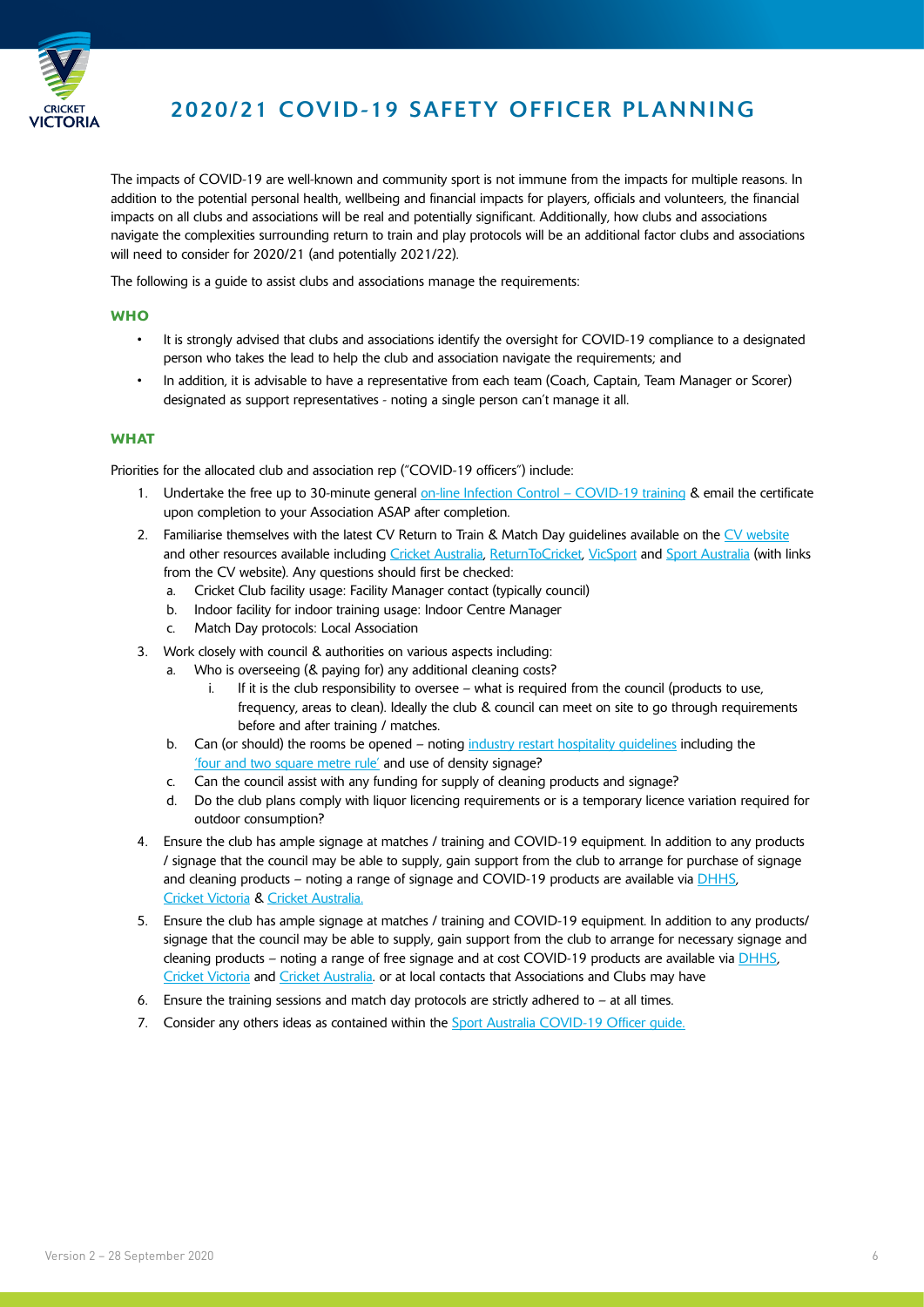

#### 2020/21 COVID-19 SAFETY OFFICER PLANNING

The impacts of COVID-19 are well-known and community sport is not immune from the impacts for multiple reasons. In addition to the potential personal health, wellbeing and financial impacts for players, officials and volunteers, the financial impacts on all clubs and associations will be real and potentially significant. Additionally, how clubs and associations navigate the complexities surrounding return to train and play protocols will be an additional factor clubs and associations will need to consider for 2020/21 (and potentially 2021/22).

The following is a guide to assist clubs and associations manage the requirements:

#### **WHO**

- It is strongly advised that clubs and associations identify the oversight for COVID-19 compliance to a designated person who takes the lead to help the club and association navigate the requirements; and
- In addition, it is advisable to have a representative from each team (Coach, Captain, Team Manager or Scorer) designated as support representatives - noting a single person can't manage it all.

#### **WHAT**

Priorities for the allocated club and association rep ("COVID-19 officers") include:

- 1. Undertake the free up to 30-minute general [on-line Infection Control COVID-19 training](https://www.health.gov.au/resources/apps-and-tools/covid-19-infection-control-training) & email the certificate upon completion to your Association ASAP after completion.
- 2. Familiarise themselves with the latest CV Return to Train & Match Day guidelines available on the [CV website](https://www.cricketvictoria.com.au/) and other resources available including [Cricket Australia](https://www.community.cricket.com.au/clubs/covid-19/additional-resources), [ReturnToCricket,](https://returntocricket.com.au/) [VicSport](https://vicsport.com.au/blog/3522/covid-19-coronavirus-update-and-links) and [Sport Australia](https://www.sportaus.gov.au/return-to-sport) (with links from the CV website). Any questions should first be checked:
	- a. Cricket Club facility usage: Facility Manager contact (typically council)
	- b. Indoor facility for indoor training usage: Indoor Centre Manager
	- c. Match Day protocols: Local Association
- 3. Work closely with council & authorities on various aspects including:
	- a. Who is overseeing (& paying for) any additional cleaning costs?
		- i. If it is the club responsibility to oversee what is required from the council (products to use, frequency, areas to clean). Ideally the club & council can meet on site to go through requirements before and after training / matches.
	- b. Can (or should) the rooms be opened noting [industry restart hospitality guidelines](https://www.business.vic.gov.au/__data/assets/pdf_file/0007/1934989/Industry-Restart-Guidelines-Hospitality.pdf) including the ['four and two square metre rule'](https://www.dhhs.vic.gov.au/four-square-metre-rule-covid-19) and use of density signage?
	- c. Can the council assist with any funding for supply of cleaning products and signage?
	- d. Do the club plans comply with liquor licencing requirements or is a temporary licence variation required for outdoor consumption?
- 4. Ensure the club has ample signage at matches / training and COVID-19 equipment. In addition to any products / signage that the council may be able to supply, gain support from the club to arrange for purchase of signage and cleaning products – noting a range of signage and COVID-19 products are available via [DHHS](https://www.dhhs.vic.gov.au/promotional-material-coronavirus-covid-19), [Cricket Victoria](https://www.cricketvictoria.com.au/clubs-support/) & [Cricket Australia.](https://www.community.cricket.com.au/clubs/covid-19/additional-resources)
- 5. Ensure the club has ample signage at matches / training and COVID-19 equipment. In addition to any products/ signage that the council may be able to supply, gain support from the club to arrange for necessary signage and cleaning products – noting a range of free signage and at cost COVID-19 products are available via DHHS, Cricket Victoria and Cricket Australia. or at local contacts that Associations and Clubs may have
- 6. Ensure the training sessions and match day protocols are strictly adhered to  $-$  at all times.
- 7. Consider any others ideas as contained within the Sport Australia COVID-19 Officer guide.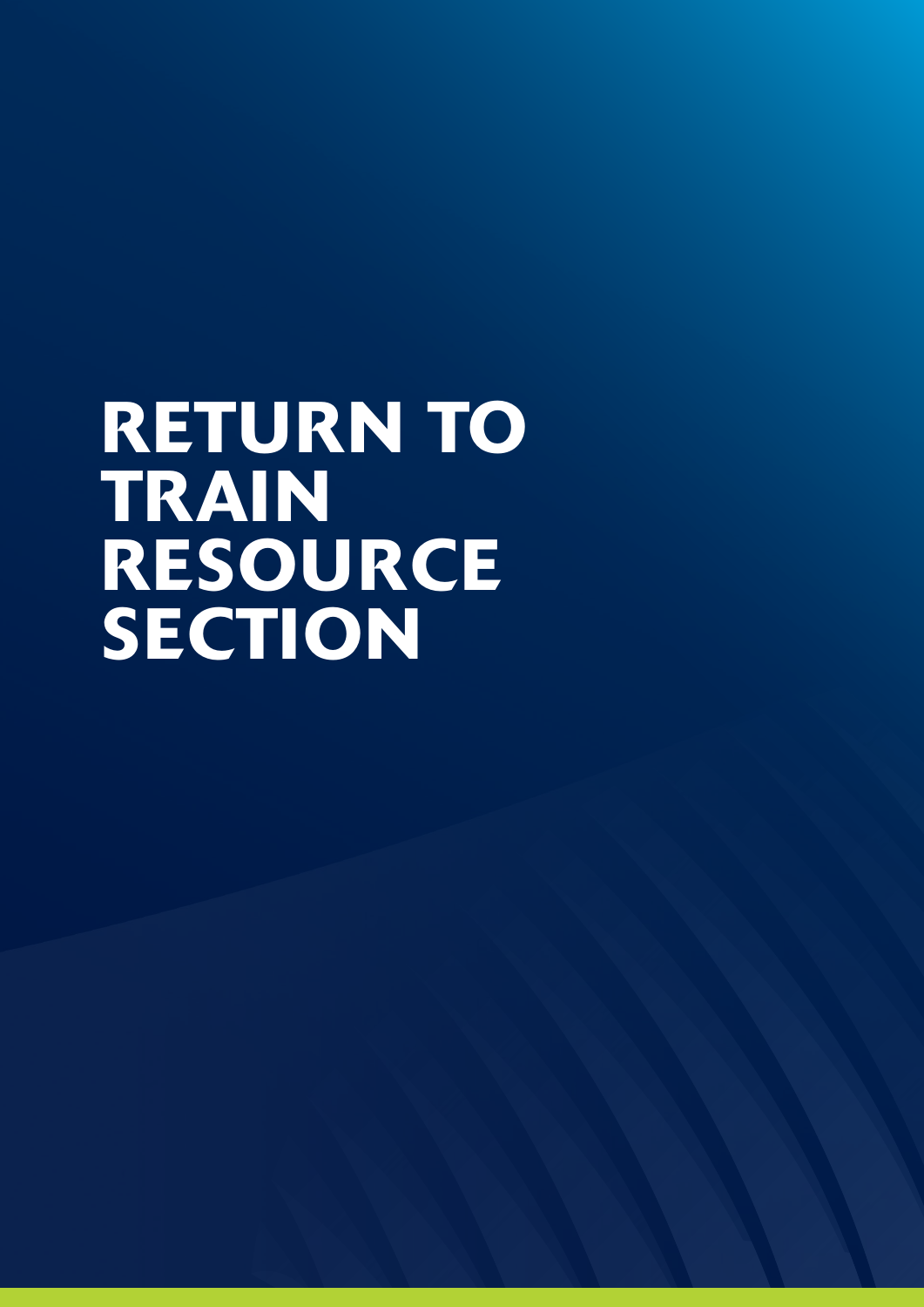# RETURN TO TRAIN RESOURCE SECTION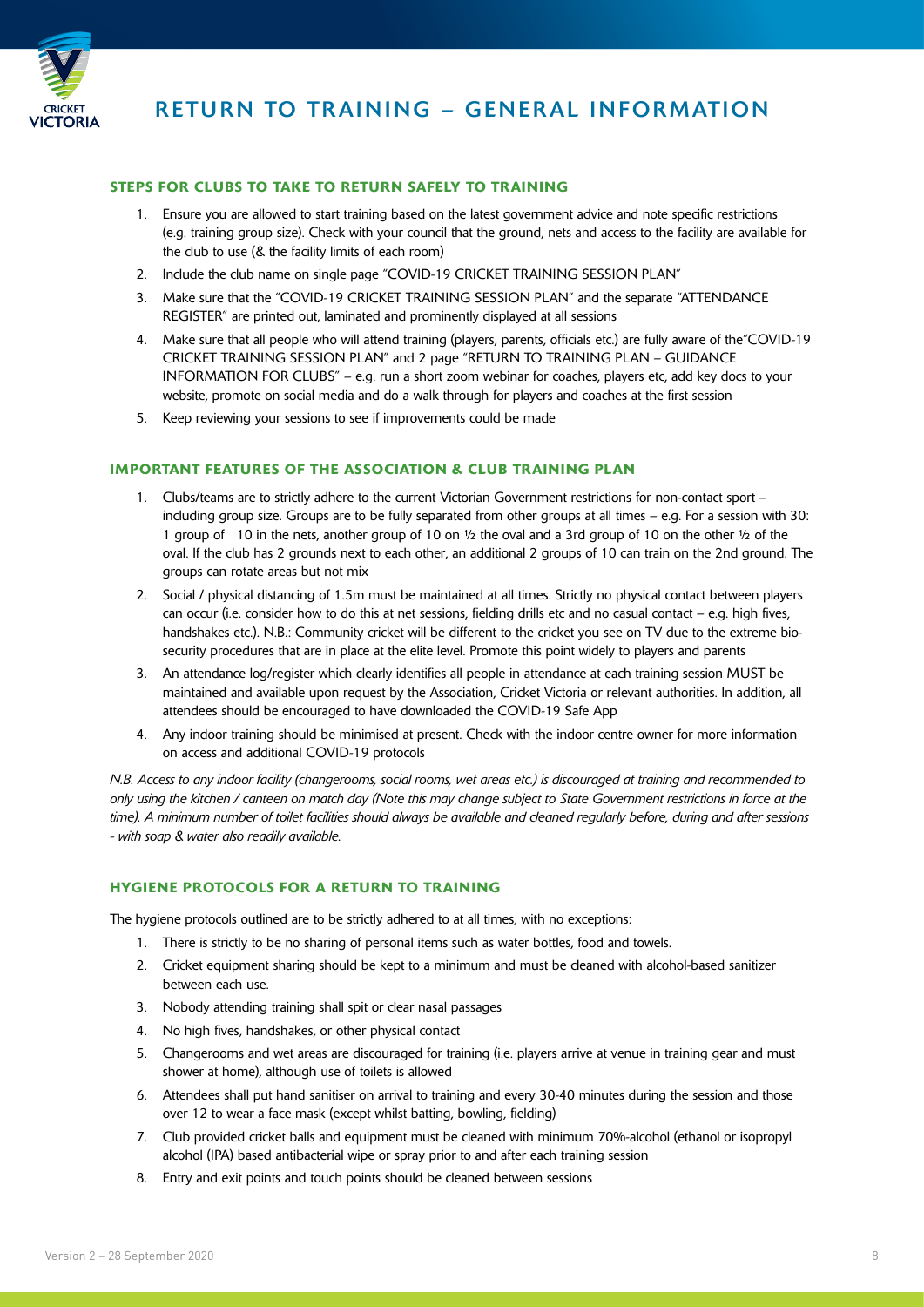

#### STEPS FOR CLUBS TO TAKE TO RETURN SAFELY TO TRAINING

- 1. Ensure you are allowed to start training based on the latest government advice and note specific restrictions (e.g. training group size). Check with your council that the ground, nets and access to the facility are available for the club to use (& the facility limits of each room)
- 2. Include the club name on single page "COVID-19 CRICKET TRAINING SESSION PLAN"
- 3. Make sure that the "COVID-19 CRICKET TRAINING SESSION PLAN" and the separate "ATTENDANCE REGISTER" are printed out, laminated and prominently displayed at all sessions
- 4. Make sure that all people who will attend training (players, parents, officials etc.) are fully aware of the"COVID-19 CRICKET TRAINING SESSION PLAN" and 2 page "RETURN TO TRAINING PLAN – GUIDANCE INFORMATION FOR CLUBS" – e.g. run a short zoom webinar for coaches, players etc, add key docs to your website, promote on social media and do a walk through for players and coaches at the first session
- 5. Keep reviewing your sessions to see if improvements could be made

#### IMPORTANT FEATURES OF THE ASSOCIATION & CLUB TRAINING PLAN

- 1. Clubs/teams are to strictly adhere to the current Victorian Government restrictions for non-contact sport including group size. Groups are to be fully separated from other groups at all times – e.g. For a session with 30: 1 group of 10 in the nets, another group of 10 on ½ the oval and a 3rd group of 10 on the other ½ of the oval. If the club has 2 grounds next to each other, an additional 2 groups of 10 can train on the 2nd ground. The groups can rotate areas but not mix
- 2. Social / physical distancing of 1.5m must be maintained at all times. Strictly no physical contact between players can occur (i.e. consider how to do this at net sessions, fielding drills etc and no casual contact  $-$  e.g. high fives, handshakes etc.). N.B.: Community cricket will be different to the cricket you see on TV due to the extreme biosecurity procedures that are in place at the elite level. Promote this point widely to players and parents
- 3. An attendance log/register which clearly identifies all people in attendance at each training session MUST be maintained and available upon request by the Association, Cricket Victoria or relevant authorities. In addition, all attendees should be encouraged to have downloaded the COVID-19 Safe App
- 4. Any indoor training should be minimised at present. Check with the indoor centre owner for more information on access and additional COVID-19 protocols

*N.B. Access to any indoor facility (changerooms, social rooms, wet areas etc.) is discouraged at training and recommended to only using the kitchen / canteen on match day (Note this may change subject to State Government restrictions in force at the time). A minimum number of toilet facilities should always be available and cleaned regularly before, during and after sessions - with soap & water also readily available.*

#### HYGIENE PROTOCOLS FOR A RETURN TO TRAINING

The hygiene protocols outlined are to be strictly adhered to at all times, with no exceptions:

- 1. There is strictly to be no sharing of personal items such as water bottles, food and towels.
- 2. Cricket equipment sharing should be kept to a minimum and must be cleaned with alcohol-based sanitizer between each use.
- 3. Nobody attending training shall spit or clear nasal passages
- 4. No high fives, handshakes, or other physical contact
- 5. Changerooms and wet areas are discouraged for training (i.e. players arrive at venue in training gear and must shower at home), although use of toilets is allowed
- 6. Attendees shall put hand sanitiser on arrival to training and every 30-40 minutes during the session and those over 12 to wear a face mask (except whilst batting, bowling, fielding)
- 7. Club provided cricket balls and equipment must be cleaned with minimum 70%-alcohol (ethanol or isopropyl alcohol (IPA) based antibacterial wipe or spray prior to and after each training session
- 8. Entry and exit points and touch points should be cleaned between sessions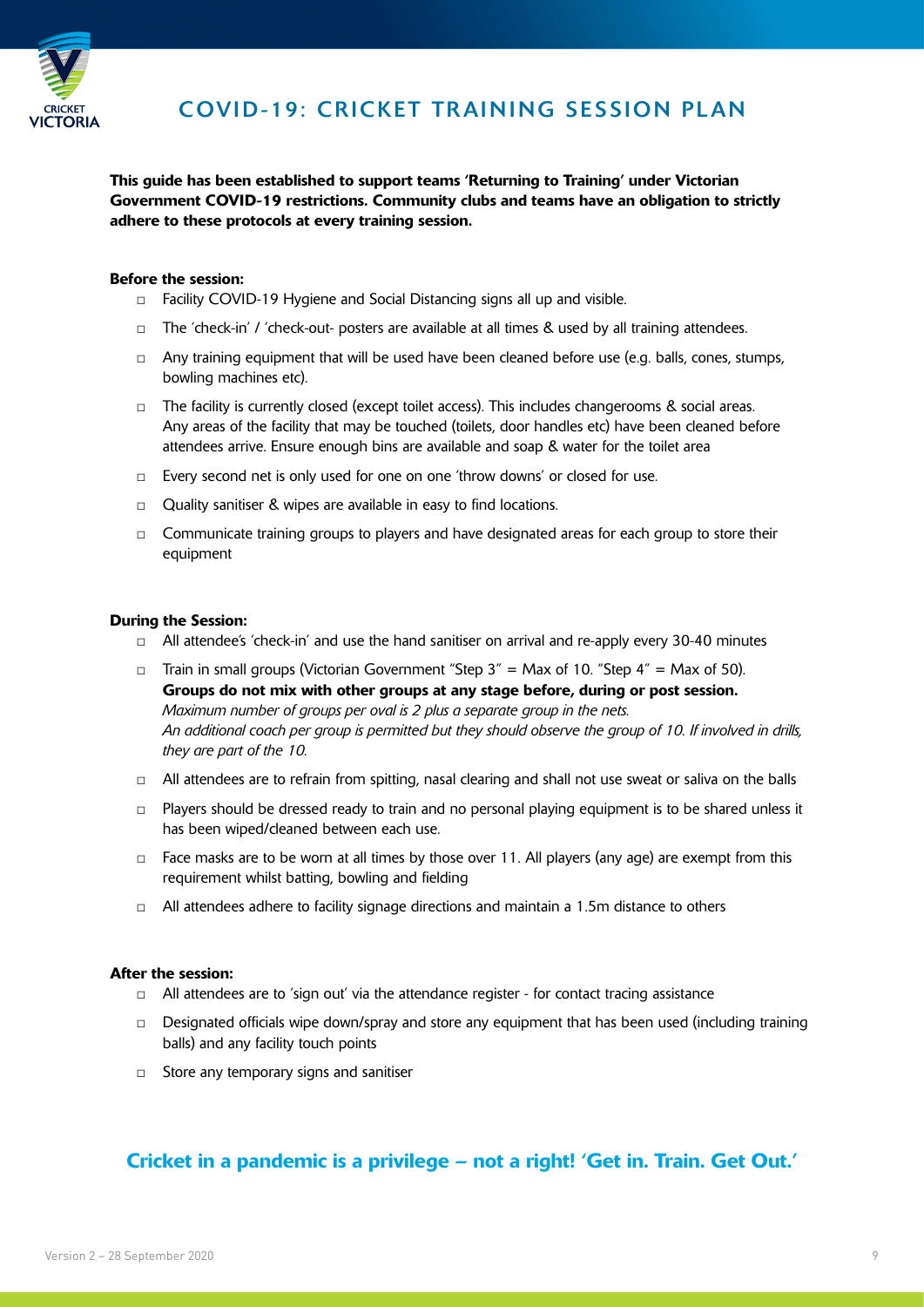

This guide has been established to support teams 'Returning to Training' under Victorian Government COVID-19 restrictions. Community clubs and teams have an obligation to strictly adhere to these protocols at every training session.

#### Before the session:

- □ Facility COVID-19 Hygiene and Social Distancing signs all up and visible.
- □ The 'check-in' / 'check-out- posters are available at all times & used by all training attendees.
- $\Box$  Any training equipment that will be used have been cleaned before use (e.g. balls, cones, stumps, bowling machines etc).
- □ The facility is currently closed (except toilet access). This includes changerooms & social areas. Any areas of the facility that may be touched (toilets, door handles etc) have been cleaned before attendees arrive. Ensure enough bins are available and soap & water for the toilet area
- □ Every second net is only used for one on one 'throw downs' or closed for use.
- □ Quality sanitiser & wipes are available in easy to find locations.
- □ Communicate training groups to players and have designated areas for each group to store their equipment

#### During the Session:

- $\Box$  All attendee's 'check-in' and use the hand sanitiser on arrival and re-apply every 30-40 minutes
- □ Train in small groups (Victorian Government "Step  $3'' =$  Max of 10. "Step  $4'' =$  Max of 50). Groups do not mix with other groups at any stage before, during or post session. *Maximum number of groups per oval is 2 plus a separate group in the nets. An additional coach per group is permitted but they should observe the group of 10. If involved in drills, they are part of the 10.*
- $\Box$  All attendees are to refrain from spitting, nasal clearing and shall not use sweat or saliva on the balls
- □ Players should be dressed ready to train and no personal playing equipment is to be shared unless it has been wiped/cleaned between each use.
- $\Box$  Face masks are to be worn at all times by those over 11. All players (any age) are exempt from this requirement whilst batting, bowling and fielding
- $\Box$  All attendees adhere to facility signage directions and maintain a 1.5m distance to others

#### After the session:

- $\Box$  All attendees are to 'sign out' via the attendance register for contact tracing assistance
- $\Box$  Designated officials wipe down/spray and store any equipment that has been used (including training balls) and any facility touch points
- □ Store any temporary signs and sanitiser

#### Cricket in a pandemic is a privilege – not a right! 'Get in. Train. Get Out.'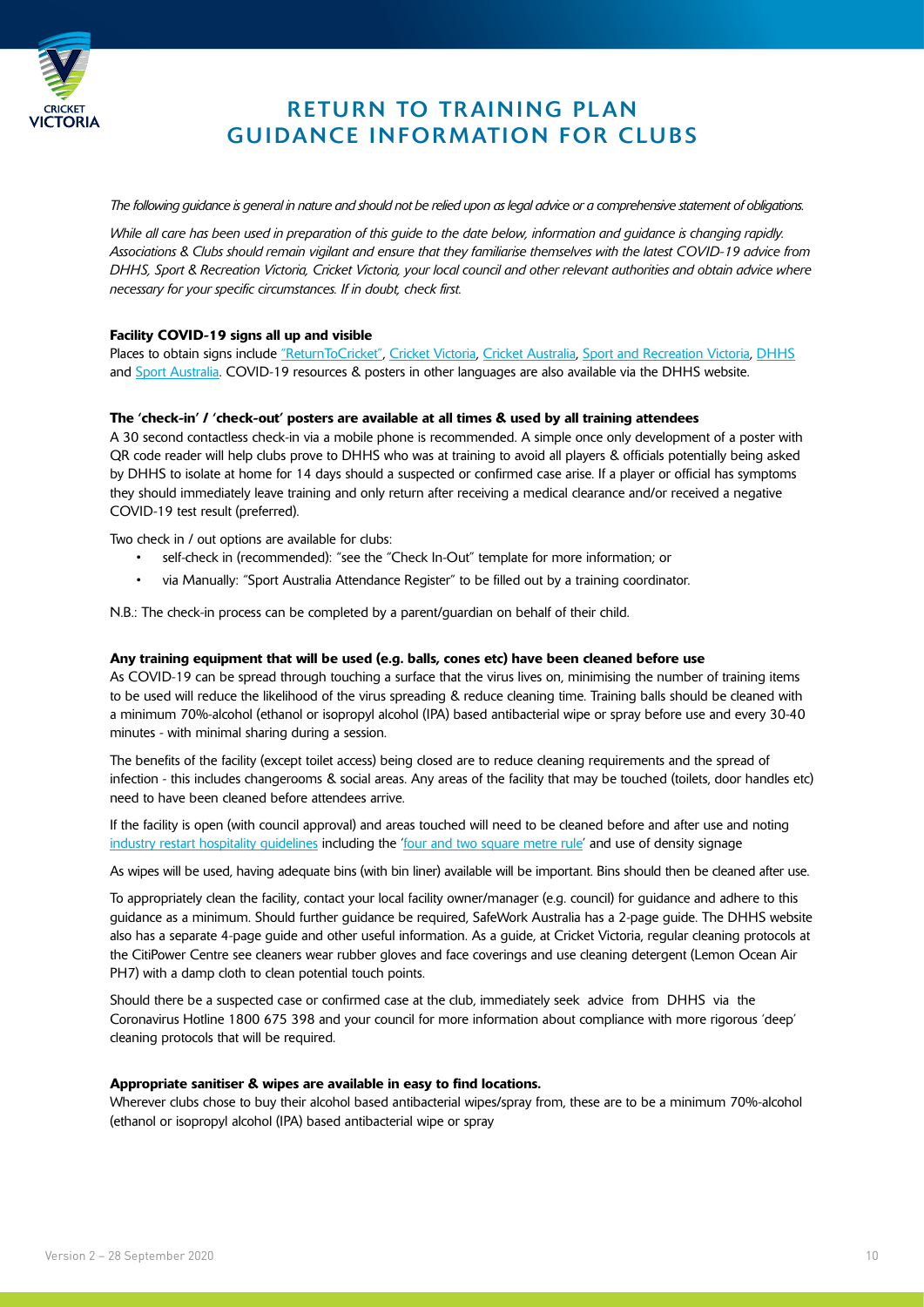

#### RETURN TO TRAINING PLAN GUIDANCE INFORMATION FOR CLUBS

*The following guidance is general in nature and should not be relied upon as legal advice or a comprehensive statement of obligations.* 

*While all care has been used in preparation of this guide to the date below, information and guidance is changing rapidly. Associations & Clubs should remain vigilant and ensure that they familiarise themselves with the latest COVID-19 advice from DHHS, Sport & Recreation Victoria, Cricket Victoria, your local council and other relevant authorities and obtain advice where necessary for your specific circumstances. If in doubt, check first.* 

#### Facility COVID-19 signs all up and visible

Places to obtain signs include ["ReturnToCricket",](https://returntocricket.com.au/) [Cricket Victoria,](https://www.cricketvictoria.com.au/clubs-support/) [Cricket Australia](https://www.community.cricket.com.au/clubs/covid-19/additional-resources), [Sport and Recreation Victoria](https://sport.vic.gov.au/), [DHHS](https://www.dhhs.vic.gov.au/promotional-material-coronavirus-covid-19) and [Sport Australia](https://www.sportaus.gov.au/return-to-sport#covid-19_hygiene_guidance). COVID-19 resources & posters in other languages are also available via the DHHS website.

#### The 'check-in' / 'check-out' posters are available at all times & used by all training attendees

A 30 second contactless check-in via a mobile phone is recommended. A simple once only development of a poster with QR code reader will help clubs prove to DHHS who was at training to avoid all players & officials potentially being asked by DHHS to isolate at home for 14 days should a suspected or confirmed case arise. If a player or official has symptoms they should immediately leave training and only return after receiving a medical clearance and/or received a negative COVID-19 test result (preferred).

Two check in / out options are available for clubs:

- self-check in (recommended): "see the "Check In-Out" template for more information; or
- via Manually: "Sport Australia Attendance Register" to be filled out by a training coordinator.

N.B.: The check-in process can be completed by a parent/guardian on behalf of their child.

#### Any training equipment that will be used (e.g. balls, cones etc) have been cleaned before use

As COVID-19 can be spread through touching a surface that the virus lives on, minimising the number of training items to be used will reduce the likelihood of the virus spreading & reduce cleaning time. Training balls should be cleaned with a minimum 70%-alcohol (ethanol or isopropyl alcohol (IPA) based antibacterial wipe or spray before use and every 30-40 minutes - with minimal sharing during a session.

The benefits of the facility (except toilet access) being closed are to reduce cleaning requirements and the spread of infection - this includes changerooms & social areas. Any areas of the facility that may be touched (toilets, door handles etc) need to have been cleaned before attendees arrive.

If the facility is open (with council approval) and areas touched will need to be cleaned before and after use and noting industry restart hospitality guidelines including the 'four and two square metre rule' and use of density signage

As wipes will be used, having adequate bins (with bin liner) available will be important. Bins should then be cleaned after use.

To appropriately clean the facility, contact your local facility owner/manager (e.g. council) for guidance and adhere to this guidance as a minimum. Should further guidance be required, SafeWork Australia has a 2-page guide. The DHHS website also has a separate 4-page guide and other useful information. As a guide, at Cricket Victoria, regular cleaning protocols at the CitiPower Centre see cleaners wear rubber gloves and face coverings and use cleaning detergent (Lemon Ocean Air PH7) with a damp cloth to clean potential touch points.

Should there be a suspected case or confirmed case at the club, immediately seek advice from DHHS via the Coronavirus Hotline 1800 675 398 and your council for more information about compliance with more rigorous 'deep' cleaning protocols that will be required.

#### Appropriate sanitiser & wipes are available in easy to find locations.

Wherever clubs chose to buy their alcohol based antibacterial wipes/spray from, these are to be a minimum 70%-alcohol (ethanol or isopropyl alcohol (IPA) based antibacterial wipe or spray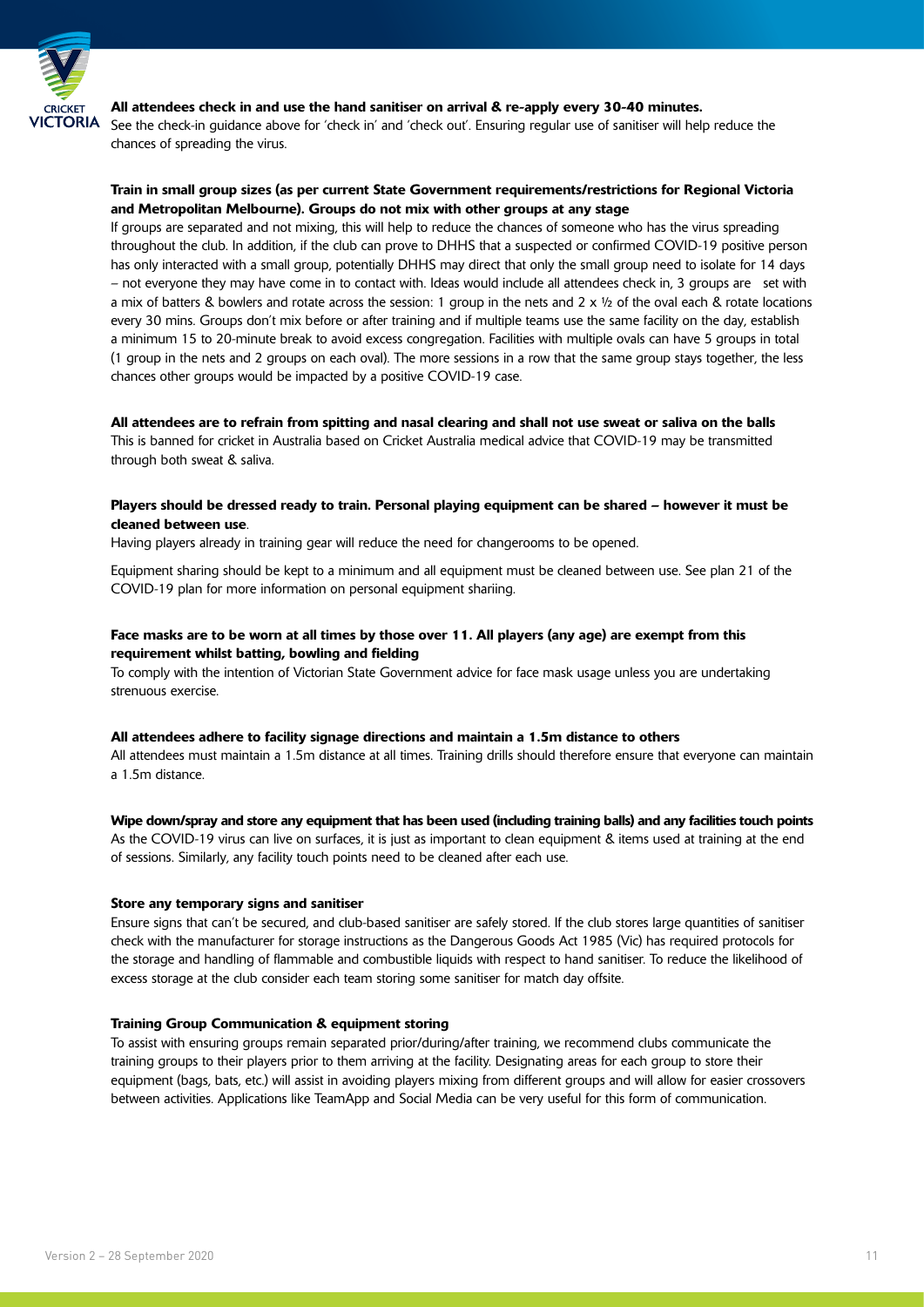

#### All attendees check in and use the hand sanitiser on arrival & re-apply every 30-40 minutes.

See the check-in guidance above for 'check in' and 'check out'. Ensuring regular use of sanitiser will help reduce the chances of spreading the virus.

#### Train in small group sizes (as per current State Government requirements/restrictions for Regional Victoria and Metropolitan Melbourne). Groups do not mix with other groups at any stage

If groups are separated and not mixing, this will help to reduce the chances of someone who has the virus spreading throughout the club. In addition, if the club can prove to DHHS that a suspected or confirmed COVID-19 positive person has only interacted with a small group, potentially DHHS may direct that only the small group need to isolate for 14 days – not everyone they may have come in to contact with. Ideas would include all attendees check in, 3 groups are set with a mix of batters & bowlers and rotate across the session: 1 group in the nets and  $2 \times \frac{1}{2}$  of the oval each & rotate locations every 30 mins. Groups don't mix before or after training and if multiple teams use the same facility on the day, establish a minimum 15 to 20-minute break to avoid excess congregation. Facilities with multiple ovals can have 5 groups in total (1 group in the nets and 2 groups on each oval). The more sessions in a row that the same group stays together, the less chances other groups would be impacted by a positive COVID-19 case.

#### All attendees are to refrain from spitting and nasal clearing and shall not use sweat or saliva on the balls

This is banned for cricket in Australia based on Cricket Australia medical advice that COVID-19 may be transmitted through both sweat & saliva.

#### Players should be dressed ready to train. Personal playing equipment can be shared – however it must be cleaned between use.

Having players already in training gear will reduce the need for changerooms to be opened.

Equipment sharing should be kept to a minimum and all equipment must be cleaned between use. See plan 21 of the COVID-19 plan for more information on personal equipment shariing.

#### Face masks are to be worn at all times by those over 11. All players (any age) are exempt from this requirement whilst batting, bowling and fielding

To comply with the intention of Victorian State Government advice for face mask usage unless you are undertaking strenuous exercise.

#### All attendees adhere to facility signage directions and maintain a 1.5m distance to others

All attendees must maintain a 1.5m distance at all times. Training drills should therefore ensure that everyone can maintain a 1.5m distance.

#### Wipe down/spray and store any equipment that has been used (including training balls) and any facilities touch points

As the COVID-19 virus can live on surfaces, it is just as important to clean equipment & items used at training at the end of sessions. Similarly, any facility touch points need to be cleaned after each use.

#### Store any temporary signs and sanitiser

Ensure signs that can't be secured, and club-based sanitiser are safely stored. If the club stores large quantities of sanitiser check with the manufacturer for storage instructions as the Dangerous Goods Act 1985 (Vic) has required protocols for the storage and handling of flammable and combustible liquids with respect to hand sanitiser. To reduce the likelihood of excess storage at the club consider each team storing some sanitiser for match day offsite.

#### Training Group Communication & equipment storing

To assist with ensuring groups remain separated prior/during/after training, we recommend clubs communicate the training groups to their players prior to them arriving at the facility. Designating areas for each group to store their equipment (bags, bats, etc.) will assist in avoiding players mixing from different groups and will allow for easier crossovers between activities. Applications like TeamApp and Social Media can be very useful for this form of communication.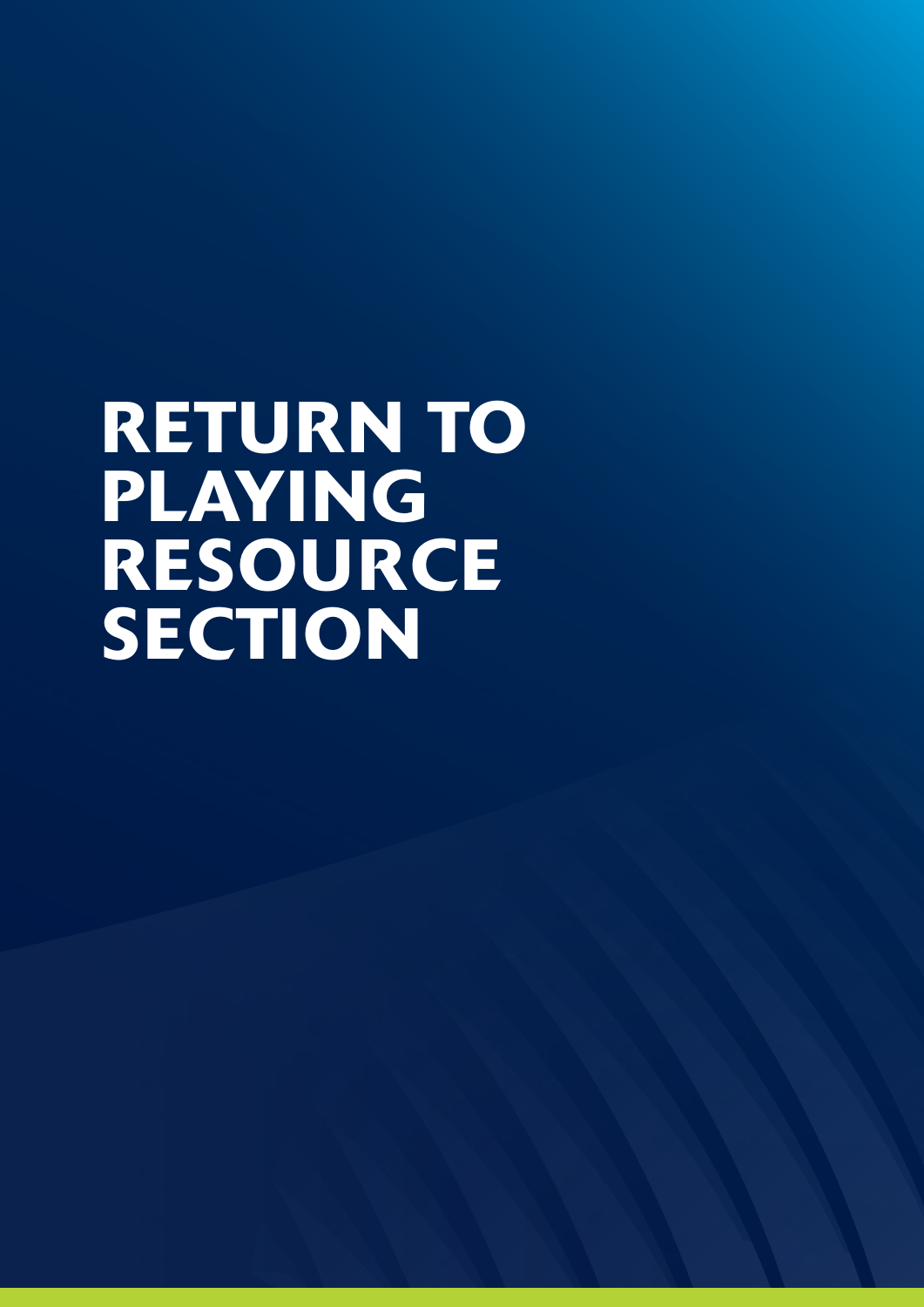# RETURN TO PLAYING RESOURCE SECTION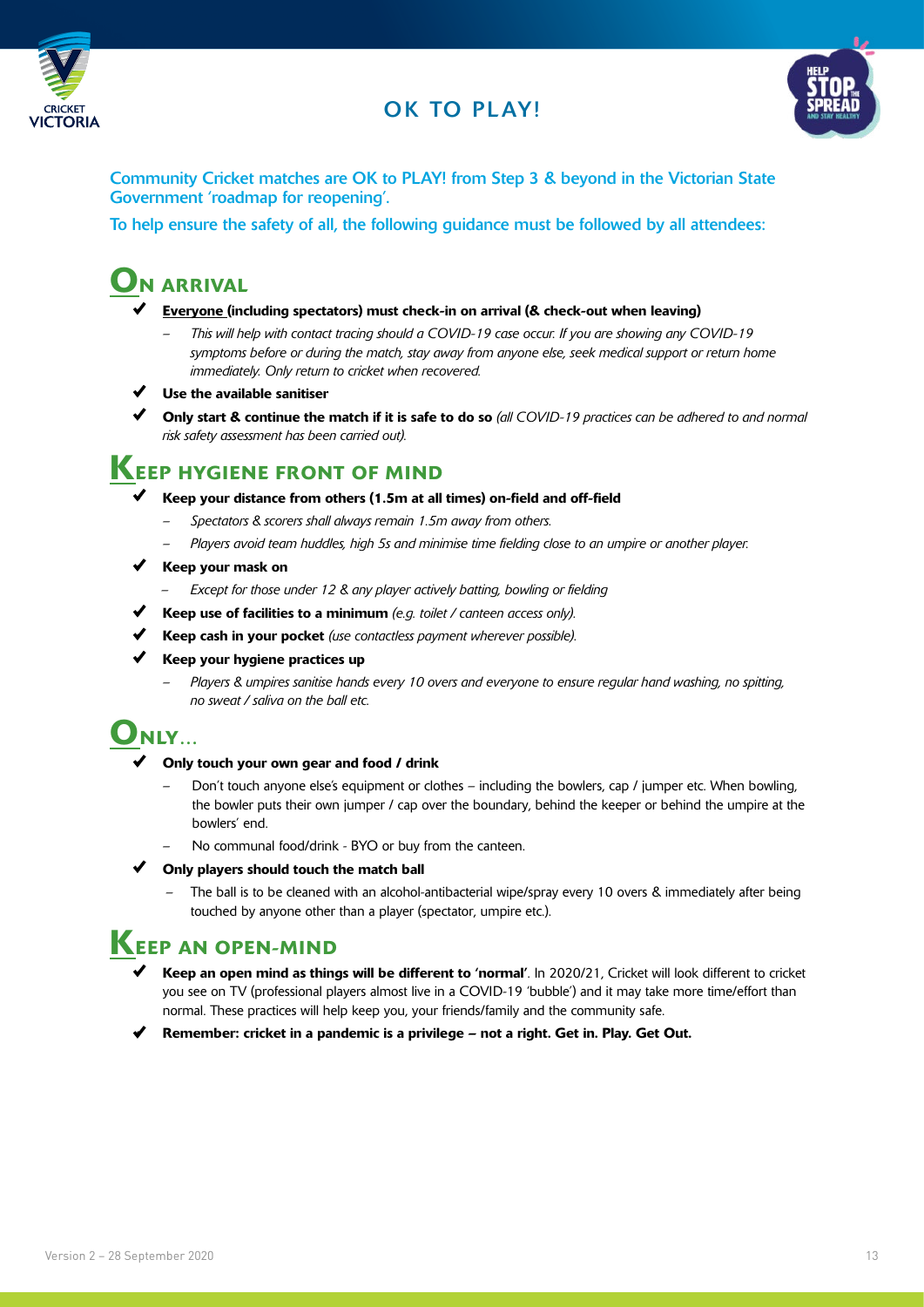

#### OK TO PLAY!



Community Cricket matches are OK to PLAY! from Step 3 & beyond in the Victorian State Government 'roadmap for reopening'.

To help ensure the safety of all, the following guidance must be followed by all attendees:

#### **ON ARRIVAL**

- Everyone (including spectators) must check-in on arrival (& check-out when leaving)
	- *– This will help with contact tracing should a COVID-19 case occur. If you are showing any COVID-19 symptoms before or during the match, stay away from anyone else, seek medical support or return home immediately. Only return to cricket when recovered.*
- Use the available sanitiser
- Only start & continue the match if it is safe to do so *(all COVID-19 practices can be adhered to and normal risk safety assessment has been carried out).*

#### **KEEP HYGIENE FRONT OF MIND**

- $\blacklozenge$  Keep your distance from others (1.5m at all times) on-field and off-field
	- *– Spectators & scorers shall always remain 1.5m away from others.*
	- *– Players avoid team huddles, high 5s and minimise time fielding close to an umpire or another player.*
- $\checkmark$  Keep your mask on
	- *– Except for those under 12 & any player actively batting, bowling or fielding*
- Keep use of facilities to a minimum *(e.g. toilet / canteen access only).*
- Keep cash in your pocket *(use contactless payment wherever possible).*
- $\checkmark$  Keep your hygiene practices up
	- *– Players & umpires sanitise hands every 10 overs and everyone to ensure regular hand washing, no spitting, no sweat / saliva on the ball etc.*

#### $\mathbf{O}_{\mathbf{N}\mathbf{L}\mathbf{Y}...}$

- Only touch your own gear and food / drink
	- Don't touch anyone else's equipment or clothes including the bowlers, cap / jumper etc. When bowling, the bowler puts their own jumper / cap over the boundary, behind the keeper or behind the umpire at the bowlers' end.
	- No communal food/drink BYO or buy from the canteen.
- $\checkmark$  Only players should touch the match ball
	- The ball is to be cleaned with an alcohol-antibacterial wipe/spray every 10 overs & immediately after being touched by anyone other than a player (spectator, umpire etc.).

#### KEEP AN OPEN-MIND

- Keep an open mind as things will be different to 'normal'. In 2020/21, Cricket will look different to cricket you see on TV (professional players almost live in a COVID-19 'bubble') and it may take more time/effort than normal. These practices will help keep you, your friends/family and the community safe.
- Remember: cricket in a pandemic is a privilege not a right. Get in. Play. Get Out.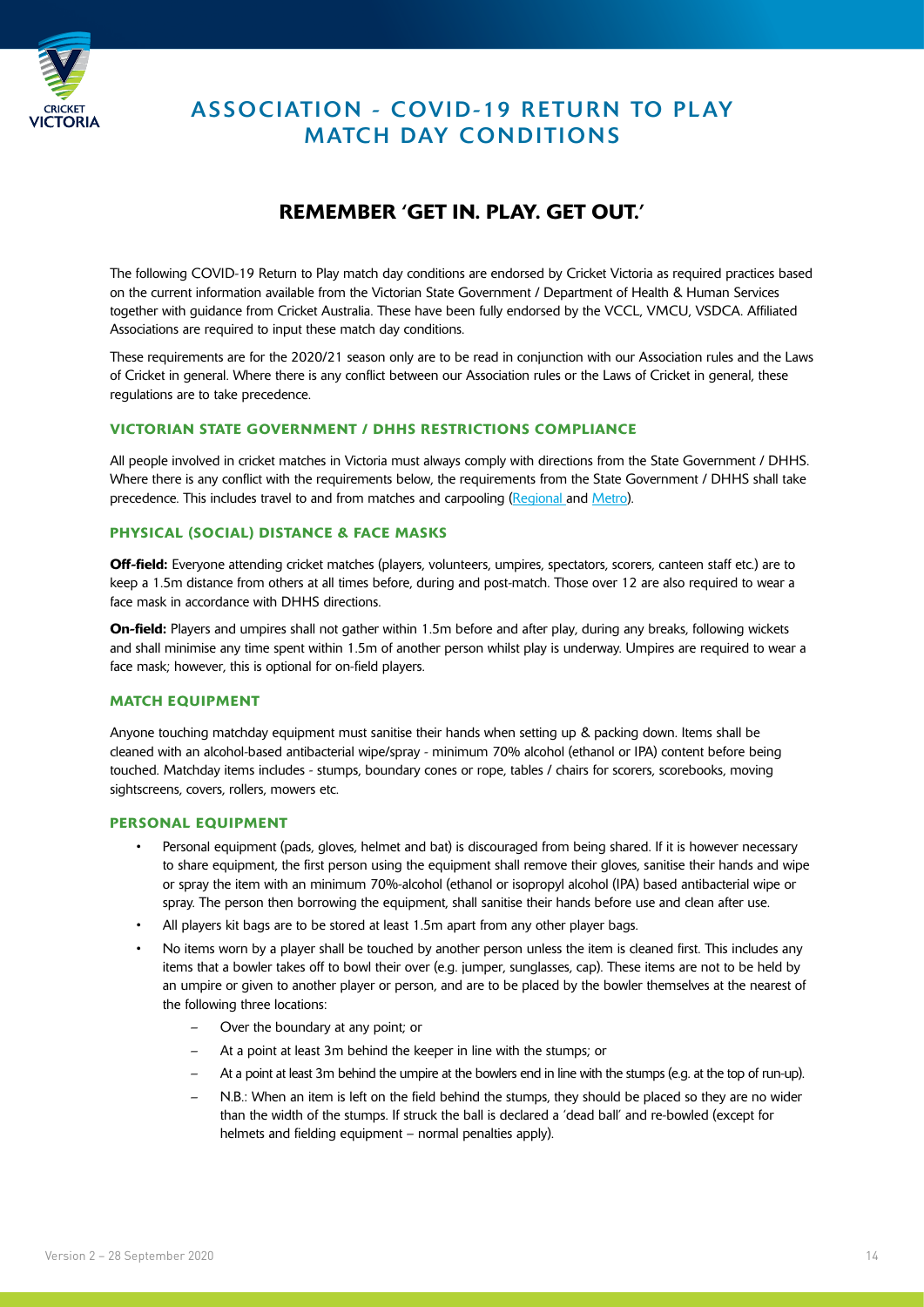

#### **ASSOCIATION - COVID-19 RETURN TO PLAY** MATCH DAY CONDITIONS

#### REMEMBER 'GET IN. PLAY. GET OUT.'

The following COVID-19 Return to Play match day conditions are endorsed by Cricket Victoria as required practices based on the current information available from the Victorian State Government / Department of Health & Human Services together with guidance from Cricket Australia. These have been fully endorsed by the VCCL, VMCU, VSDCA. Affiliated Associations are required to input these match day conditions.

These requirements are for the 2020/21 season only are to be read in conjunction with our Association rules and the Laws of Cricket in general. Where there is any conflict between our Association rules or the Laws of Cricket in general, these regulations are to take precedence.

#### VICTORIAN STATE GOVERNMENT / DHHS RESTRICTIONS COMPLIANCE

All people involved in cricket matches in Victoria must always comply with directions from the State Government / DHHS. Where there is any conflict with the requirements below, the requirements from the State Government / DHHS shall take precedence. This includes travel to and from matches and carpooling [\(Regional](https://www.dhhs.vic.gov.au/victorias-restriction-levels-covid-19) and [Metro](https://www.dhhs.vic.gov.au/victorias-restriction-levels-covid-19)).

#### PHYSICAL (SOCIAL) DISTANCE & FACE MASKS

Off-field: Everyone attending cricket matches (players, volunteers, umpires, spectators, scorers, canteen staff etc.) are to keep a 1.5m distance from others at all times before, during and post-match. Those over 12 are also required to wear a face mask in accordance with DHHS directions.

On-field: Players and umpires shall not gather within 1.5m before and after play, during any breaks, following wickets and shall minimise any time spent within 1.5m of another person whilst play is underway. Umpires are required to wear a face mask; however, this is optional for on-field players.

#### MATCH EQUIPMENT

Anyone touching matchday equipment must sanitise their hands when setting up & packing down. Items shall be cleaned with an alcohol-based antibacterial wipe/spray - minimum 70% alcohol (ethanol or IPA) content before being touched. Matchday items includes - stumps, boundary cones or rope, tables / chairs for scorers, scorebooks, moving sightscreens, covers, rollers, mowers etc.

#### PERSONAL EQUIPMENT

- Personal equipment (pads, gloves, helmet and bat) is discouraged from being shared. If it is however necessary to share equipment, the first person using the equipment shall remove their gloves, sanitise their hands and wipe or spray the item with an minimum 70%-alcohol (ethanol or isopropyl alcohol (IPA) based antibacterial wipe or spray. The person then borrowing the equipment, shall sanitise their hands before use and clean after use.
- All players kit bags are to be stored at least 1.5m apart from any other player bags.
- No items worn by a player shall be touched by another person unless the item is cleaned first. This includes any items that a bowler takes off to bowl their over (e.g. jumper, sunglasses, cap). These items are not to be held by an umpire or given to another player or person, and are to be placed by the bowler themselves at the nearest of the following three locations:
	- Over the boundary at any point; or
	- At a point at least 3m behind the keeper in line with the stumps; or
	- At a point at least 3m behind the umpire at the bowlers end in line with the stumps (e.g. at the top of run-up).
	- N.B.: When an item is left on the field behind the stumps, they should be placed so they are no wider than the width of the stumps. If struck the ball is declared a 'dead ball' and re-bowled (except for helmets and fielding equipment – normal penalties apply).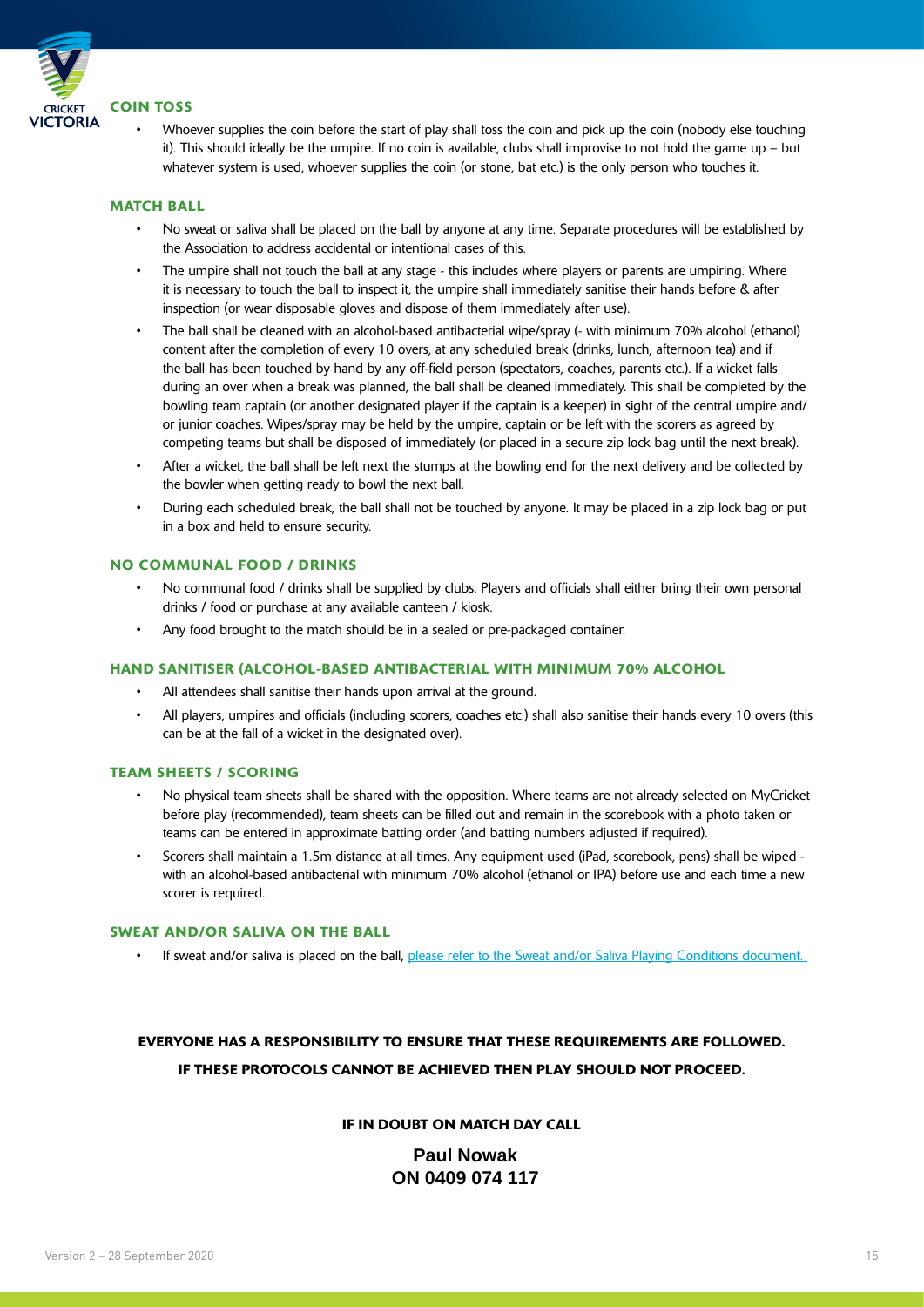

• Whoever supplies the coin before the start of play shall toss the coin and pick up the coin (nobody else touching it). This should ideally be the umpire. If no coin is available, clubs shall improvise to not hold the game up – but whatever system is used, whoever supplies the coin (or stone, bat etc.) is the only person who touches it.

#### MATCH BALL

- No sweat or saliva shall be placed on the ball by anyone at any time. Separate procedures will be established by the Association to address accidental or intentional cases of this.
- The umpire shall not touch the ball at any stage this includes where players or parents are umpiring. Where it is necessary to touch the ball to inspect it, the umpire shall immediately sanitise their hands before & after inspection (or wear disposable gloves and dispose of them immediately after use).
- The ball shall be cleaned with an alcohol-based antibacterial wipe/spray (- with minimum 70% alcohol (ethanol) content after the completion of every 10 overs, at any scheduled break (drinks, lunch, afternoon tea) and if the ball has been touched by hand by any off-field person (spectators, coaches, parents etc.). If a wicket falls during an over when a break was planned, the ball shall be cleaned immediately. This shall be completed by the bowling team captain (or another designated player if the captain is a keeper) in sight of the central umpire and/ or junior coaches. Wipes/spray may be held by the umpire, captain or be left with the scorers as agreed by competing teams but shall be disposed of immediately (or placed in a secure zip lock bag until the next break).
- After a wicket, the ball shall be left next the stumps at the bowling end for the next delivery and be collected by the bowler when getting ready to bowl the next ball.
- During each scheduled break, the ball shall not be touched by anyone. It may be placed in a zip lock bag or put in a box and held to ensure security.

#### NO COMMUNAL FOOD / DRINKS

- No communal food / drinks shall be supplied by clubs. Players and officials shall either bring their own personal drinks / food or purchase at any available canteen / kiosk.
- Any food brought to the match should be in a sealed or pre-packaged container.

#### HAND SANITISER (ALCOHOL-BASED ANTIBACTERIAL WITH MINIMUM 70% ALCOHOL

- All attendees shall sanitise their hands upon arrival at the ground.
- All players, umpires and officials (including scorers, coaches etc.) shall also sanitise their hands every 10 overs (this can be at the fall of a wicket in the designated over).

#### TEAM SHEETS / SCORING

- No physical team sheets shall be shared with the opposition. Where teams are not already selected on MyCricket before play (recommended), team sheets can be filled out and remain in the scorebook with a photo taken or teams can be entered in approximate batting order (and batting numbers adjusted if required).
- Scorers shall maintain a 1.5m distance at all times. Any equipment used (iPad, scorebook, pens) shall be wiped with an alcohol-based antibacterial with minimum 70% alcohol (ethanol or IPA) before use and each time a new scorer is required.

#### SWEAT AND/OR SALIVA ON THE BALL

If sweat and/or saliva is placed on the ball, please refer to the Sweat and/or Saliva Playing Conditions document.

#### EVERYONE HAS A RESPONSIBILITY TO ENSURE THAT THESE REQUIREMENTS ARE FOLLOWED. IF THESE PROTOCOLS CANNOT BE ACHIEVED THEN PLAY SHOULD NOT PROCEED.

#### IF IN DOUBT ON MATCH DAY CALL

#### **Paul Nowak ON 0409 074 117**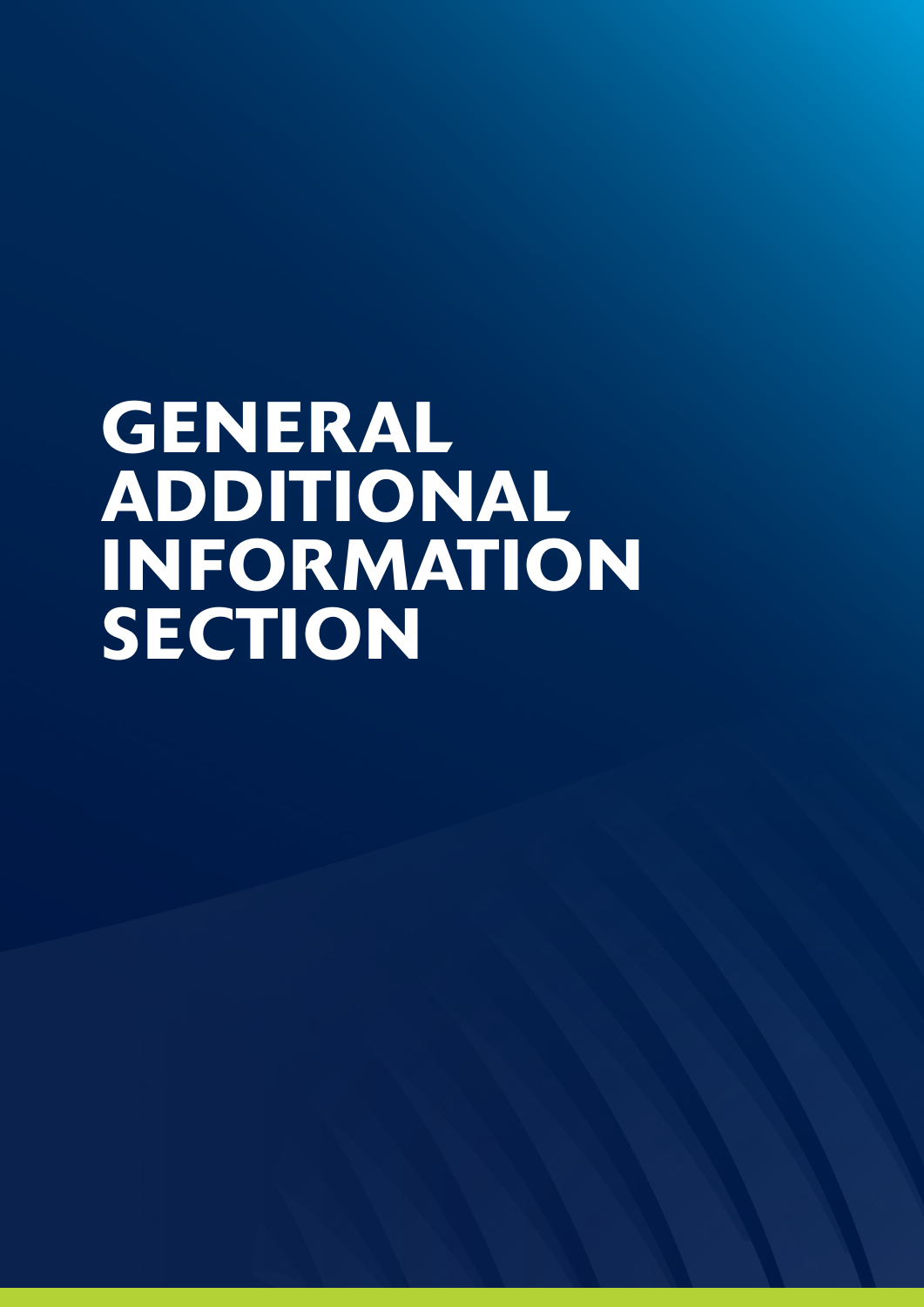# GENERAL ADDITIONAL INFORMATION SECTION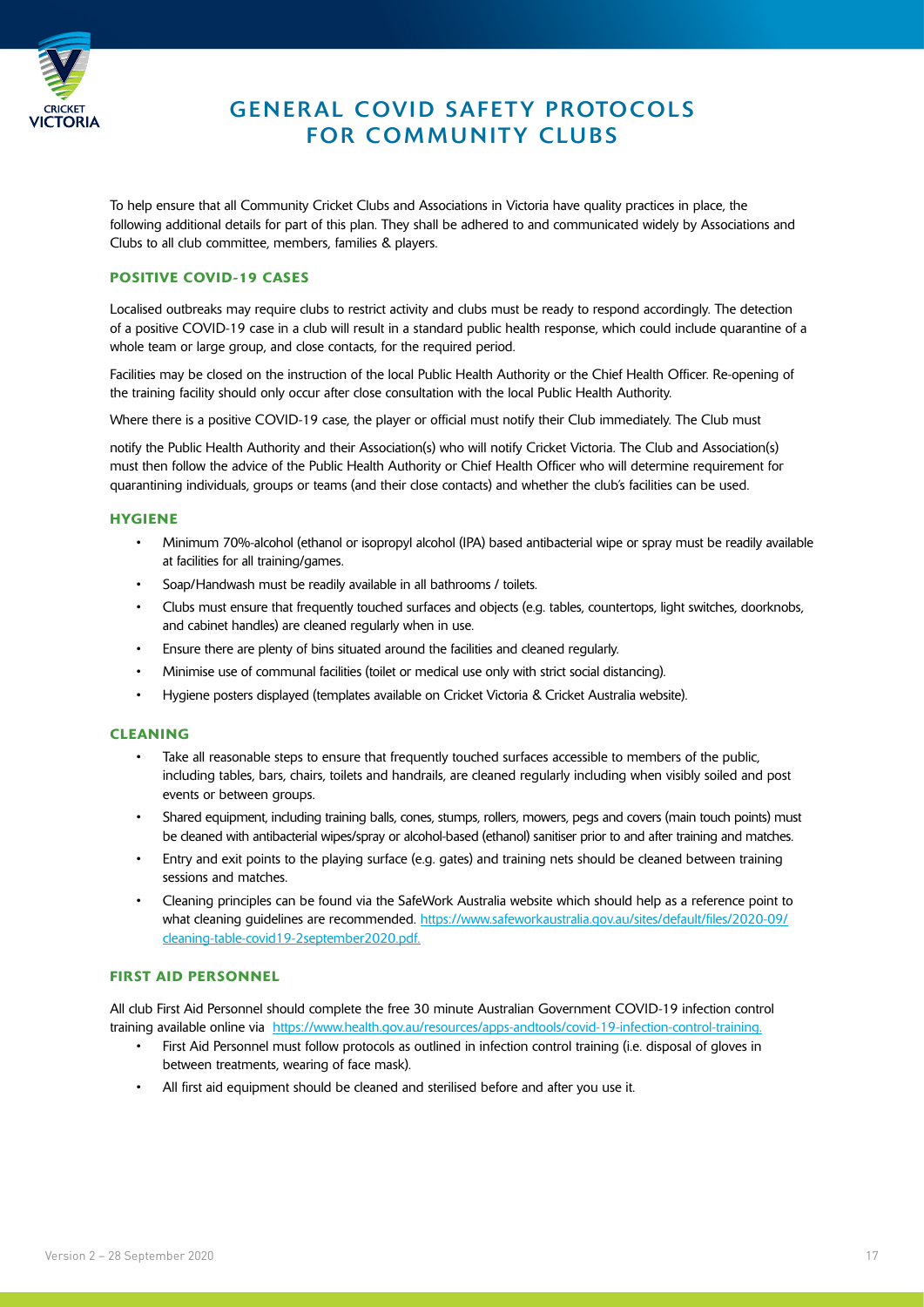

#### **GENERAL COVID SAFETY PROTOCOLS** FOR COMMUNITY CLUBS

To help ensure that all Community Cricket Clubs and Associations in Victoria have quality practices in place, the following additional details for part of this plan. They shall be adhered to and communicated widely by Associations and Clubs to all club committee, members, families & players.

#### POSITIVE COVID-19 CASES

Localised outbreaks may require clubs to restrict activity and clubs must be ready to respond accordingly. The detection of a positive COVID-19 case in a club will result in a standard public health response, which could include quarantine of a whole team or large group, and close contacts, for the required period.

Facilities may be closed on the instruction of the local Public Health Authority or the Chief Health Officer. Re-opening of the training facility should only occur after close consultation with the local Public Health Authority.

Where there is a positive COVID-19 case, the player or official must notify their Club immediately. The Club must

notify the Public Health Authority and their Association(s) who will notify Cricket Victoria. The Club and Association(s) must then follow the advice of the Public Health Authority or Chief Health Officer who will determine requirement for quarantining individuals, groups or teams (and their close contacts) and whether the club's facilities can be used.

#### **HYGIENE**

- Minimum 70%-alcohol (ethanol or isopropyl alcohol (IPA) based antibacterial wipe or spray must be readily available at facilities for all training/games.
- Soap/Handwash must be readily available in all bathrooms / toilets.
- Clubs must ensure that frequently touched surfaces and objects (e.g. tables, countertops, light switches, doorknobs, and cabinet handles) are cleaned regularly when in use.
- Ensure there are plenty of bins situated around the facilities and cleaned regularly.
- Minimise use of communal facilities (toilet or medical use only with strict social distancing).
- Hygiene posters displayed (templates available on Cricket Victoria & Cricket Australia website).

#### **CLEANING**

- Take all reasonable steps to ensure that frequently touched surfaces accessible to members of the public, including tables, bars, chairs, toilets and handrails, are cleaned regularly including when visibly soiled and post events or between groups.
- Shared equipment, including training balls, cones, stumps, rollers, mowers, pegs and covers (main touch points) must be cleaned with antibacterial wipes/spray or alcohol-based (ethanol) sanitiser prior to and after training and matches.
- Entry and exit points to the playing surface (e.g. gates) and training nets should be cleaned between training sessions and matches.
- Cleaning principles can be found via the SafeWork Australia website which should help as a reference point to what cleaning guidelines are recommended. [https://www.safeworkaustralia.gov.au/sites/default/files/2020-09/](https://www.safeworkaustralia.gov.au/sites/default/files/2020-09/cleaning-table-covid19-2september2020.pdf) [cleaning-table-covid19-2september2020.pdf.](https://www.safeworkaustralia.gov.au/sites/default/files/2020-09/cleaning-table-covid19-2september2020.pdf)

#### FIRST AID PERSONNEL

All club First Aid Personnel should complete the free 30 minute Australian Government COVID-19 infection control training available online via [https://www.health.gov.au/resources/apps-andtools/covid-19-infection-control-training.](https://www.health.gov.au/resources/apps-andtools/covid-19-infection-control-training%20)

- First Aid Personnel must follow protocols as outlined in infection control training (i.e. disposal of gloves in between treatments, wearing of face mask).
- All first aid equipment should be cleaned and sterilised before and after you use it.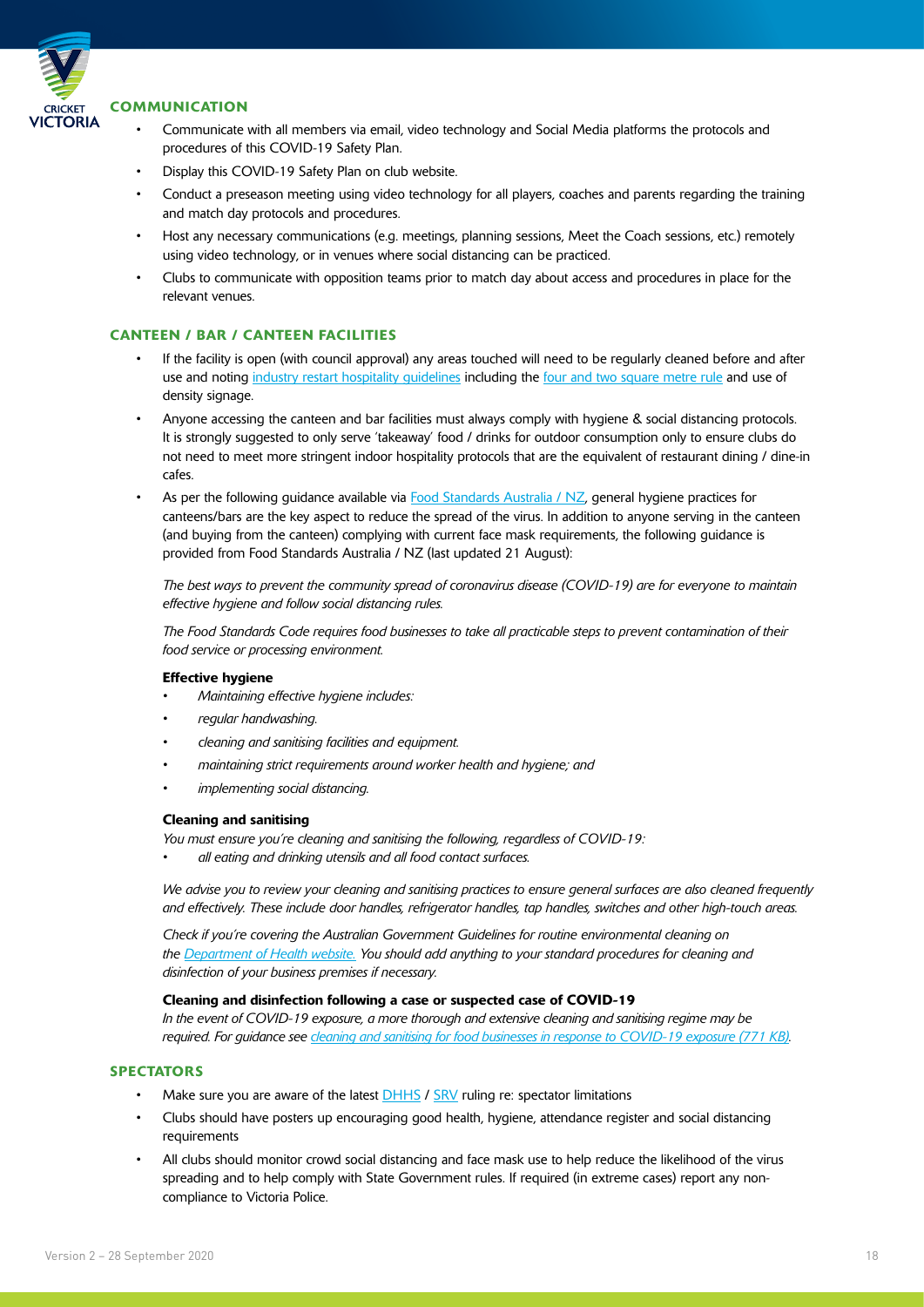

#### **COMMUNICATION**

- Communicate with all members via email, video technology and Social Media platforms the protocols and procedures of this COVID-19 Safety Plan.
- Display this COVID-19 Safety Plan on club website.
- Conduct a preseason meeting using video technology for all players, coaches and parents regarding the training and match day protocols and procedures.
- Host any necessary communications (e.g. meetings, planning sessions, Meet the Coach sessions, etc.) remotely using video technology, or in venues where social distancing can be practiced.
- Clubs to communicate with opposition teams prior to match day about access and procedures in place for the relevant venues.

#### CANTEEN / BAR / CANTEEN FACILITIES

- If the facility is open (with council approval) any areas touched will need to be regularly cleaned before and after use and noting industry restart hospitality quidelines including the [four and two square metre rule](https://www.dhhs.vic.gov.au/four-square-metre-rule-covid-19) and use of density signage.
- Anyone accessing the canteen and bar facilities must always comply with hygiene & social distancing protocols. It is strongly suggested to only serve 'takeaway' food / drinks for outdoor consumption only to ensure clubs do not need to meet more stringent indoor hospitality protocols that are the equivalent of restaurant dining / dine-in cafes.
- As per the following guidance available via [Food Standards Australia / NZ](https://www.foodstandards.gov.au/industry/Pages/COVID-19---Advice-for-food-businesses-on-general-health-and-hygiene.aspx), general hygiene practices for canteens/bars are the key aspect to reduce the spread of the virus. In addition to anyone serving in the canteen (and buying from the canteen) complying with current face mask requirements, the following guidance is provided from Food Standards Australia / NZ (last updated 21 August):

*The best ways to prevent the community spread of coronavirus disease (COVID-19) are for everyone to maintain effective hygiene and follow social distancing rules.* 

*The Food Standards Code requires food businesses to take all practicable steps to prevent contamination of their food service or processing environment.* 

#### Effective hygiene

- *• Maintaining effective hygiene includes:*
- *• regular handwashing.*
- *• cleaning and sanitising facilities and equipment.*
- *• maintaining strict requirements around worker health and hygiene; and*
- *• implementing social distancing.*

#### Cleaning and sanitising

*You must ensure you're cleaning and sanitising the following, regardless of COVID-19:* 

*• all eating and drinking utensils and all food contact surfaces.* 

*We advise you to review your cleaning and sanitising practices to ensure general surfaces are also cleaned frequently and effectively. These include door handles, refrigerator handles, tap handles, switches and other high-touch areas.* 

*Check if you're covering the Australian Government Guidelines for routine environmental cleaning on the [Department of Health website.](https://www.health.gov.au/resources/publications/coronavirus-covid-19-information-about-routine-environmental-cleaning-and-disinfection-in-the-community) You should add anything to your standard procedures for cleaning and disinfection of your business premises if necessary.* 

#### Cleaning and disinfection following a case or suspected case of COVID-19

*In the event of COVID-19 exposure, a more thorough and extensive cleaning and sanitising regime may be required. For guidance see [cleaning and sanitising for food businesses in response to COVID-19 exposure \(771 KB\).](https://www.foodstandards.gov.au/publications/Documents/COVID-19%20deep%20cleaning%20guide%20for%20food%20businesses.pdf)* 

#### **SPECTATORS**

- Make sure you are aware of the latest  $DHHS / SRV$  $DHHS / SRV$  ruling re: spectator limitations
- Clubs should have posters up encouraging good health, hygiene, attendance register and social distancing requirements
- All clubs should monitor crowd social distancing and face mask use to help reduce the likelihood of the virus spreading and to help comply with State Government rules. If required (in extreme cases) report any noncompliance to Victoria Police.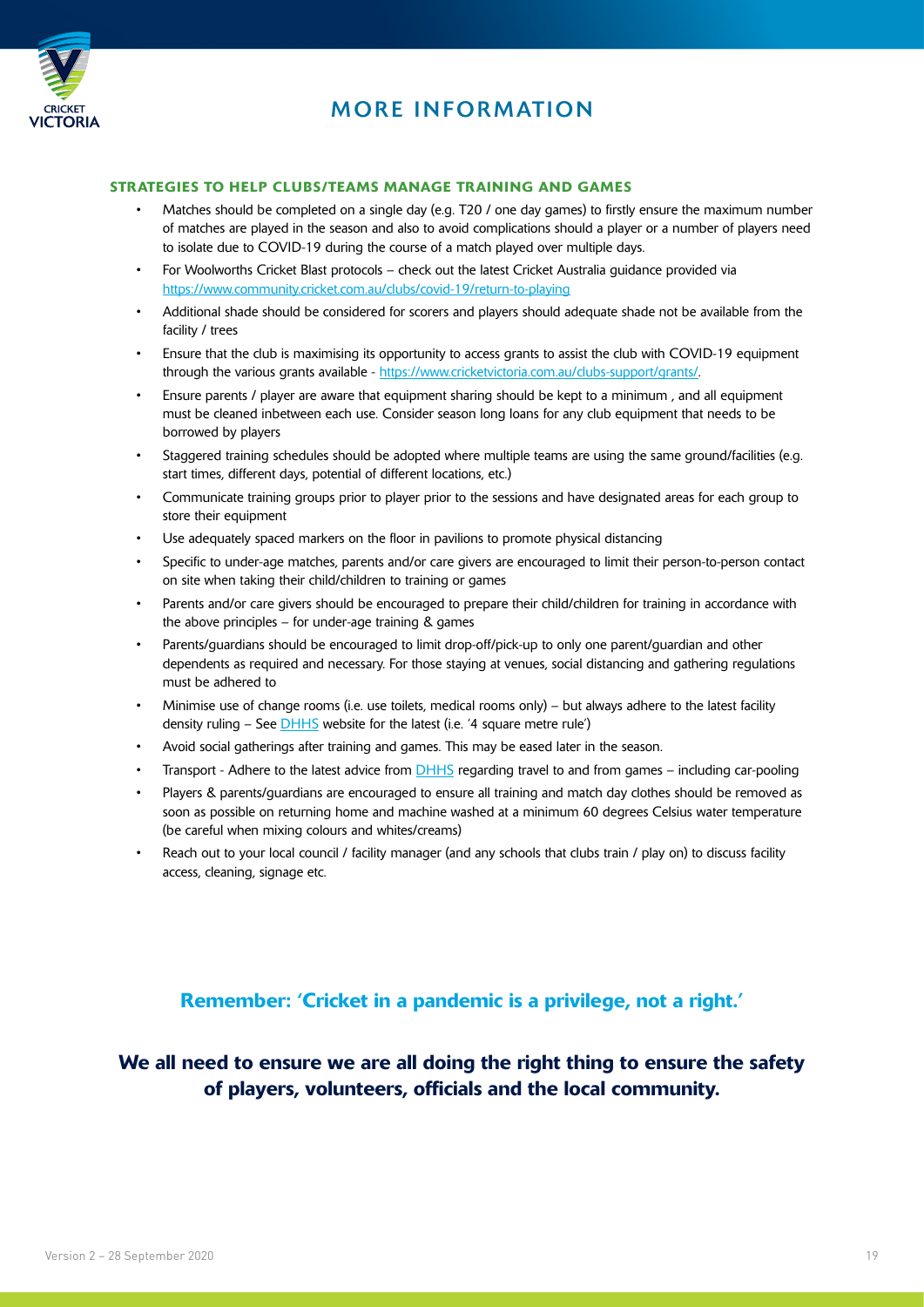

#### MORE INFORMATION

#### STRATEGIES TO HELP CLUBS/TEAMS MANAGE TRAINING AND GAMES

- Matches should be completed on a single day (e.g. T20 / one day games) to firstly ensure the maximum number of matches are played in the season and also to avoid complications should a player or a number of players need to isolate due to COVID-19 during the course of a match played over multiple days.
- For Woolworths Cricket Blast protocols check out the latest Cricket Australia guidance provided via <https://www.community.cricket.com.au/clubs/covid-19/return-to-playing>
- Additional shade should be considered for scorers and players should adequate shade not be available from the facility / trees
- Ensure that the club is maximising its opportunity to access grants to assist the club with COVID-19 equipment through the various grants available - [https://www.cricketvictoria.com.au/clubs-support/grants/.](https://www.cricketvictoria.com.au/clubs-support/grants/)
- Ensure parents / player are aware that equipment sharing should be kept to a minimum , and all equipment must be cleaned inbetween each use. Consider season long loans for any club equipment that needs to be borrowed by players
- Staggered training schedules should be adopted where multiple teams are using the same ground/facilities (e.g. start times, different days, potential of different locations, etc.)
- Communicate training groups prior to player prior to the sessions and have designated areas for each group to store their equipment
- Use adequately spaced markers on the floor in pavilions to promote physical distancing
- Specific to under-age matches, parents and/or care givers are encouraged to limit their person-to-person contact on site when taking their child/children to training or games
- Parents and/or care givers should be encouraged to prepare their child/children for training in accordance with the above principles – for under-age training & games
- Parents/guardians should be encouraged to limit drop-off/pick-up to only one parent/guardian and other dependents as required and necessary. For those staying at venues, social distancing and gathering regulations must be adhered to
- Minimise use of change rooms (i.e. use toilets, medical rooms only) but always adhere to the latest facility density ruling – See [DHHS](https://www.dhhs.vic.gov.au/four-square-metre-rule-covid-19#what-venues-does-the-four-square-metre-rule-apply-to) website for the latest (i.e. '4 square metre rule')
- Avoid social gatherings after training and games. This may be eased later in the season.
- Transport Adhere to the latest advice from **DHHS** regarding travel to and from games including car-pooling
- Players & parents/guardians are encouraged to ensure all training and match day clothes should be removed as soon as possible on returning home and machine washed at a minimum 60 degrees Celsius water temperature (be careful when mixing colours and whites/creams)
- Reach out to your local council / facility manager (and any schools that clubs train / play on) to discuss facility access, cleaning, signage etc.

#### Remember: 'Cricket in a pandemic is a privilege, not a right.'

We all need to ensure we are all doing the right thing to ensure the safety of players, volunteers, officials and the local community.